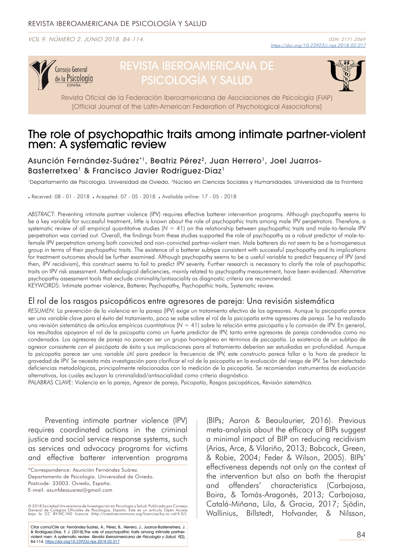VOL 9. NÚMERO 2. JUNIO 2018. 84-114.



# REVISTA IBEROAMERICANA DE PSICOLOGÍA Y SALUD



Revista Oficial de la Federación Iberoamericana de Asociaciones de Psicología (FIAP) [Official Journal of the Latin-American Federation of Psychological Associations]

# The role of psychopathic traits among intimate partner-violent men: A systematic review

Asunción Fernández-Suárez\*1, Beatriz Pérez<sup>2</sup>, Juan Herrero<sup>1</sup>, Joel Juarros-Basterretxea<sup>1</sup> & Francisco Javier Rodríguez-Díaz<sup>1</sup>

1Departamento de Psicología. Universidad de Oviedo, 2Núcleo en Ciencias Sociales y Humanidades. Universidad de la Frontera

. Received: 08 - 01 - 2018 . Aceppted: 07 - 05 - 2018 . Avaliable online: 17 - 05 - 2018

*ABSTRACT:* Preventing intimate partner violence (IPV) requires effective batterer intervention programs. Although psychopathy seems to be a key variable for successful treatment, little is known about the role of psychopathic traits among male IPV perpetrators. Therefore, a systematic review of all empirical quantitative studies (*N* = 41) on the relationship between psychopathic traits and male-to-female IPV perpetration was carried out. Overall, the findings from these studies supported the role of psychopathy as a robust predictor of male-tofemale IPV perpetration among both convicted and non-convicted partner-violent men. Male batterers do not seem to be a homogeneous group in terms of their psychopathic traits. The existence of a batterer subtype consistent with successful psychopathy and its implications for treatment outcomes should be further examined. Although psychopathy seems to be a useful variable to predict frequency of IPV (and then, IPV recidivism), this construct seems to fail to predict IPV severity. Further research is necessary to clarify the role of psychopathic traits on IPV risk assessment. Methodological deficiencies, mainly related to psychopathy measurement, have been evidenced. Alternative psychopathy assessment tools that exclude criminality/antisociality as diagnostic criteria are recommended. KEYWORDS: Intimate partner violence, Batterer, Psychopathy, Psychopathic traits, Systematic review.

### El rol de los rasgos psicopáticos entre agresores de pareja: Una revisión sistemática

*RESUMEN:* La prevención de la violencia en la pareja (IPV) exige un tratamiento efectivo de los agresores. Aunque la psicopatía parece ser una variable clave para el éxito del tratamiento, poco se sabe sobre el rol de la psicopatía entre agresores de pareja. Se ha realizado una revisión sistemática de artículos empíricos cuantitativos (*N* = 41) sobre la relación entre psicopatía y la comisión de IPV. En general, los resultados apoyaron el rol de la psicopatía como un fuerte predictor de IPV, tanto entre agresores de pareja condenados como no condenados. Los agresores de pareja no parecen ser un grupo homogéneo en términos de psicopatía. La existencia de un subtipo de agresor consistente con el psicópata de éxito y sus implicaciones para el tratamiento deberían ser estudiadas en profundidad. Aunque la psicopatía parece ser una variable útil para predecir la frecuencia de IPV, este constructo parece fallar a la hora de predecir la gravedad de IPV. Se necesita más investigación para clarificar el rol de la psicopatía en la evaluación del riesgo de IPV. Se han detectado deficiencias metodológicas, principalmente relacionadas con la medición de la psicopatía. Se recomiendan instrumentos de evaluación alternativos, los cuales excluyan la criminalidad/antisocialidad como criterio diagnóstico.

PALABRAS CLAVE: Violencia en la pareja, Agresor de pareja, Psicopatía, Rasgos psicopáticos, Revisión sistemática.

Preventing intimate partner violence (IPV) requires coordinated actions in the criminal justice and social service response systems, such as services and advocacy programs for victims and effective batterer intervention programs

© 2018 Sociedad Universitaria de Investigación en Psicología y Salud. Publicado por Consejo<br>General de Colegios Oficiales de Psicólogos, España. Este es un artículo Open Access<br>bajo la CC BY-NC-ND licenci

Citar como/Cite as: Fernández-Suárez, A., Pérez, B., Herrero, J., Juarros-Basterretxea, J. & Rodríguez-Díaz. F. J. (2018).The role of psychopathic traits among intimate partner-<br>violent men: A systematic review. *Revista Iberoamericana de Psicología y Salud, 9*(2), 84-114. [https://doi.org/1](https://doi.org/10.23923/j.rips.2018.02.017)0.23923/j.rips.2018.02.017

(BIPs; Aaron & Beaulaurier, 2016). Previous meta-analysis about the efficacy of BIPs suggest a minimal impact of BIP on reducing recidivism (Arias, Arce, & Vilariño, 2013; Babcock, Green, & Robie, 2004; Feder & Wilson, 2005). BIPs' effectiveness depends not only on the context of the intervention but also on both the therapist and offenders' characteristics (Carbajosa, Boira, & Tomás-Aragonés, 2013; Carbajosa, Catalá-Miñana, Lila, & Gracia, 2017; Sjödin, Wallinius, Billstedt, Hofvander, & Nilsson,

<sup>\*</sup>Correspondence: Asunción Fernández Suárez. Departamento de Psicología. Universidad de Oviedo. Postcode: 33003. Oviedo, España. E-mail: asunfdezsuarez@gmail.com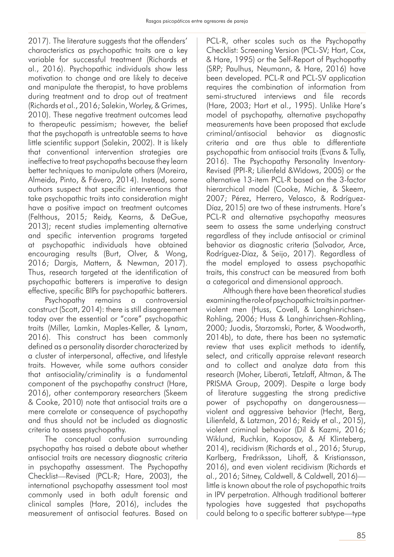2017). The literature suggests that the offenders' characteristics as psychopathic traits are a key variable for successful treatment (Richards et al., 2016). Psychopathic individuals show less motivation to change and are likely to deceive and manipulate the therapist, to have problems during treatment and to drop out of treatment (Richards et al., 2016; Salekin, Worley, & Grimes, 2010). These negative treatment outcomes lead to therapeutic pessimism; however, the belief that the psychopath is untreatable seems to have little scientific support (Salekin, 2002). It is likely that conventional intervention strategies are ineffective to treat psychopaths because they learn better techniques to manipulate others (Moreira, Almeida, Pinto, & Fávero, 2014). Instead, some authors suspect that specific interventions that take psychopathic traits into consideration might have a positive impact on treatment outcomes (Felthous, 2015; Reidy, Kearns, & DeGue, 2013); recent studies implementing alternative and specific intervention programs targeted at psychopathic individuals have obtained encouraging results (Burt, Olver, & Wong, 2016; Dargis, Mattern, & Newman, 2017). Thus, research targeted at the identification of psychopathic batterers is imperative to design effective, specific BIPs for psychopathic batterers.

Psychopathy remains a controversial construct (Scott, 2014): there is still disagreement today over the essential or "core" psychopathic traits (Miller, Lamkin, Maples-Keller, & Lynam, 2016). This construct has been commonly defined as a personality disorder characterized by a cluster of interpersonal, affective, and lifestyle traits. However, while some authors consider that antisociality/criminality is a fundamental component of the psychopathy construct (Hare, 2016), other contemporary researchers (Skeem & Cooke, 2010) note that antisocial traits are a mere correlate or consequence of psychopathy and thus should not be included as diagnostic criteria to assess psychopathy.

The conceptual confusion surrounding psychopathy has raised a debate about whether antisocial traits are necessary diagnostic criteria in psychopathy assessment. The Psychopathy Checklist—Revised (PCL-R; Hare, 2003), the international psychopathy assessment tool most commonly used in both adult forensic and clinical samples (Hare, 2016), includes the measurement of antisocial features. Based on

PCL-R, other scales such as the Psychopathy Checklist: Screening Version (PCL-SV; Hart, Cox, & Hare, 1995) or the Self-Report of Psychopathy (SRP; Paulhus, Neumann, & Hare, 2016) have been developed. PCL-R and PCL-SV application requires the combination of information from semi-structured interviews and file records (Hare, 2003; Hart et al., 1995). Unlike Hare's model of psychopathy, alternative psychopathy measurements have been proposed that exclude criminal/antisocial behavior as diagnostic criteria and are thus able to differentiate psychopathic from antisocial traits (Evans & Tully, 2016). The Psychopathy Personality Inventory-Revised (PPI-R; Lilienfeld &Widows, 2005) or the alternative 13-item PCL-R based on the 3-factor hierarchical model (Cooke, Michie, & Skeem, 2007; Pérez, Herrero, Velasco, & Rodríguez-Díaz, 2015) are two of these instruments. Hare's PCL-R and alternative psychopathy measures seem to assess the same underlying construct regardless of they include antisocial or criminal behavior as diagnostic criteria (Salvador, Arce, Rodríguez-Díaz, & Seijo, 2017). Regardless of the model employed to assess psychopathic traits, this construct can be measured from both a categorical and dimensional approach.

Although there have been theoretical studies examining the role of psychopathic traits in partnerviolent men (Huss, Covell, & Langhinrichsen-Rohling, 2006; Huss & Langhinrichsen-Rohling, 2000; Juodis, Starzomski, Porter, & Woodworth, 2014b), to date, there has been no systematic review that uses explicit methods to identify, select, and critically appraise relevant research and to collect and analyze data from this research (Moher, Liberati, Tetzlaff, Altman, & The PRISMA Group, 2009). Despite a large body of literature suggesting the strong predictive power of psychopathy on dangerousness violent and aggressive behavior (Hecht, Berg, Lilienfeld, & Latzman, 2016; Reidy et al., 2015), violent criminal behavior (Dil & Kazmi, 2016; Wiklund, Ruchkin, Koposov, & Af Klinteberg, 2014), recidivism (Richards et al., 2016; Sturup, Karlberg, Fredriksson, Lihoff, & Kristiansson, 2016), and even violent recidivism (Richards et al., 2016; Sitney, Caldwell, & Caldwell, 2016) little is known about the role of psychopathic traits in IPV perpetration. Although traditional batterer typologies have suggested that psychopaths could belong to a specific batterer subtype—type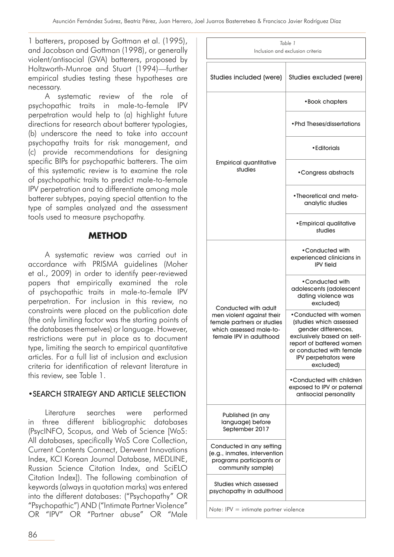1 batterers, proposed by Gottman et al. (1995), and Jacobson and Gottman (1998), or generally violent/antisocial (GVA) batterers, proposed by Holtzworth-Munroe and Stuart (1994)—further empirical studies testing these hypotheses are necessary.

A systematic review of the role of psychopathic traits in male-to-female IPV perpetration would help to (a) highlight future directions for research about batterer typologies, (b) underscore the need to take into account psychopathy traits for risk management, and (c) provide recommendations for designing specific BIPs for psychopathic batterers. The aim of this systematic review is to examine the role of psychopathic traits to predict male-to-female IPV perpetration and to differentiate among male batterer subtypes, paying special attention to the type of samples analyzed and the assessment tools used to measure psychopathy.

# **METHOD**

A systematic review was carried out in accordance with PRISMA guidelines (Moher et al., 2009) in order to identify peer-reviewed papers that empirically examined the role of psychopathic traits in male-to-female IPV perpetration. For inclusion in this review, no constraints were placed on the publication date (the only limiting factor was the starting points of the databases themselves) or language. However, restrictions were put in place as to document type, limiting the search to empirical quantitative articles. For a full list of inclusion and exclusion criteria for identification of relevant literature in this review, see Table 1.

### •SEARCH STRATEGY AND ARTICLE SELECTION

Literature searches were performed in three different bibliographic databases (PsycINFO, Scopus, and Web of Science [WoS: All databases, specifically WoS Core Collection, Current Contents Connect, Derwent Innovations Index, KCI Korean Journal Database, MEDLINE, Russian Science Citation Index, and SciELO Citation Index]). The following combination of keywords (always in quotation marks) was entered into the different databases: ("Psychopathy" OR "Psychopathic") AND ("Intimate Partner Violence" OR "IPV" OR "Partner abuse" OR "Male

| Studies included (were)                                                                                                               | Studies excluded (were)                                                                                                                                                                             |
|---------------------------------------------------------------------------------------------------------------------------------------|-----------------------------------------------------------------------------------------------------------------------------------------------------------------------------------------------------|
|                                                                                                                                       | • Book chapters                                                                                                                                                                                     |
|                                                                                                                                       | • Phd Theses/dissertations                                                                                                                                                                          |
|                                                                                                                                       | • Editorials                                                                                                                                                                                        |
| <b>Empirical quantitative</b><br>studies                                                                                              | • Congress abstracts                                                                                                                                                                                |
|                                                                                                                                       | • Theoretical and meta-<br>analytic studies                                                                                                                                                         |
|                                                                                                                                       | • Empirical qualitative<br>studies                                                                                                                                                                  |
|                                                                                                                                       | •Conducted with<br>experienced clinicians in<br><b>IPV</b> field                                                                                                                                    |
|                                                                                                                                       | •Conducted with<br>adolescents (adolescent<br>dating violence was<br>excluded)                                                                                                                      |
| Conducted with adult<br>men violent against their<br>female partners or studies<br>which assessed male-to-<br>female IPV in adulthood | •Conducted with women<br>(studies which assessed<br>gender differences,<br>exclusively based on self-<br>report of battered women<br>or conducted with female<br>IPV perpetrators were<br>excluded) |
|                                                                                                                                       | •Conducted with children<br>exposed to IPV or paternal<br>antisocial personality                                                                                                                    |
| Published (in any<br>language) before<br>September 2017                                                                               |                                                                                                                                                                                                     |
| Conducted in any setting<br>(e.g., inmates, intervention<br>programs participants or<br>community sample)                             |                                                                                                                                                                                                     |
| Studies which assessed<br>psychopathy in adulthood                                                                                    |                                                                                                                                                                                                     |
|                                                                                                                                       |                                                                                                                                                                                                     |

*Table 1* Inclusion and exclusion criteria

*Note*: IPV = intimate partner violence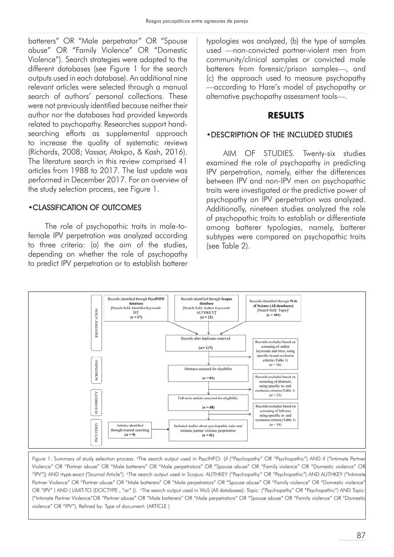batterers" OR "Male perpetrator" OR "Spouse abuse" OR "Family Violence" OR "Domestic Violence"). Search strategies were adapted to the different databases (see Figure 1 for the search outputs used in each database). An additional nine relevant articles were selected through a manual search of authors' personal collections. These were not previously identified because neither their author nor the databases had provided keywords related to psychopathy. Researches support handsearching efforts as supplemental approach to increase the quality of systematic reviews (Richards, 2008; Vassar, Atakpo, & Kash, 2016). The literature search in this review comprised 41 articles from 1988 to 2017. The last update was performed in December 2017. For an overview of the study selection process, see Figure 1.

### •CLASSIFICATION OF OUTCOMES

The role of psychopathic traits in male-tofemale IPV perpetration was analyzed according to three criteria: (a) the aim of the studies, depending on whether the role of psychopathy to predict IPV perpetration or to establish batterer

typologies was analyzed, (b) the type of samples used —non-convicted partner-violent men from community/clinical samples or convicted male batterers from forensic/prison samples—, and (c) the approach used to measure psychopathy —according to Hare's model of psychopathy or alternative psychopathy assessment tools—.

### **RESULTS**

### •DESCRIPTION OF THE INCLUDED STUDIES

AIM OF STUDIES. Twenty-six studies examined the role of psychopathy in predicting IPV perpetration, namely, either the differences between IPV and non-IPV men on psychopathic traits were investigated or the predictive power of psychopathy on IPV perpetration was analyzed. Additionally, nineteen studies analyzed the role of psychopathic traits to establish or differentiate among batterer typologies, namely, batterer subtypes were compared on psychopathic traits (see Table 2).



Figure 1: Summary of study selection process. <sup>a</sup>The search output used in PsycINFO: (if ("Psychopathy" OR "Psychopathic") AND if ("Intimate Partner Violence" OR "Partner abuse" OR "Male batterers" OR "Male perpetrators" OR "Spouse abuse" OR "Family violence" OR "Domestic violence" OR "IPV")) AND rtype.exact ("Journal Article"). b The search output used in Scopus: AUTHKEY ("Psychopathy" OR "Psychopathic") AND AUTHKEY ("Intimate Partner Violence" OR "Partner abuse" OR "Male batterers" OR "Male perpetrators" OR "Spouse abuse" OR "Family violence" OR "Domestic violence" OR "IPV") AND (LIMIT-TO (DOCTYPE, "ar")). The search output used in WoS (All databases): Topic: ("Psychopathy" OR "Psychopathic") AND Topic: ("Intimate Partner Violence"OR "Partner abuse" OR "Male batterers" OR "Male perpetrators" OR "Spouse abuse" OR "Family violence" OR "Domestic violence" OR "IPV"), Refined by: Type of document: (ARTICLE )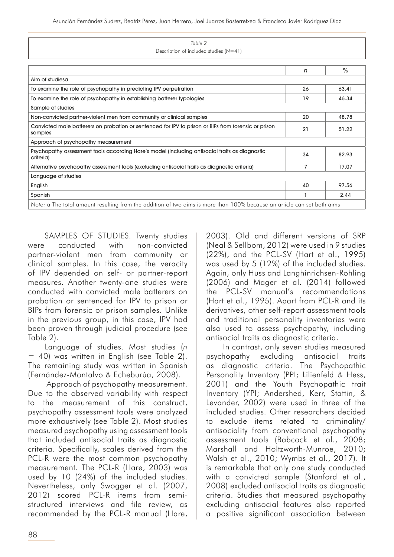| Table 2                                                                                                                 |    |       |
|-------------------------------------------------------------------------------------------------------------------------|----|-------|
| Description of included studies $(N=41)$                                                                                |    |       |
|                                                                                                                         |    |       |
|                                                                                                                         | n  | $\%$  |
| Aim of studiesa                                                                                                         |    |       |
| To examine the role of psychopathy in predicting IPV perpetration                                                       | 26 | 63.41 |
| To examine the role of psychopathy in establishing batterer typologies                                                  | 19 | 46.34 |
| Sample of studies                                                                                                       |    |       |
| Non-convicted partner-violent men from community or clinical samples                                                    | 20 | 48.78 |
| Convicted male batterers on probation or sentenced for IPV to prison or BIPs from forensic or prison<br>samples         | 21 | 51.22 |
| Approach of psychopathy measurement                                                                                     |    |       |
| Psychopathy assessment tools according Hare's model (including antisocial traits as diagnostic<br>criteria)             | 34 | 82.93 |
| Alternative psychopathy assessment tools (excluding antisocial traits as diagnostic criteria)                           | 7  | 17.07 |
| Language of studies                                                                                                     |    |       |
| English                                                                                                                 | 40 | 97.56 |
| Spanish                                                                                                                 |    | 2.44  |
| Note: a The total amount resulting from the addition of two aims is more than 100% because an article can set both aims |    |       |

SAMPLES OF STUDIES. Twenty studies were conducted with non-convicted partner-violent men from community or clinical samples. In this case, the veracity of IPV depended on self- or partner-report measures. Another twenty-one studies were conducted with convicted male batterers on probation or sentenced for IPV to prison or BIPs from forensic or prison samples. Unlike in the previous group, in this case, IPV had been proven through judicial procedure (see Table 2).

Language of studies. Most studies (*n* = 40) was written in English (see Table 2). The remaining study was written in Spanish (Fernández-Montalvo & Echeburúa, 2008).

 Approach of psychopathy measurement. Due to the observed variability with respect to the measurement of this construct, psychopathy assessment tools were analyzed more exhaustively (see Table 2). Most studies measured psychopathy using assessment tools that included antisocial traits as diagnostic criteria. Specifically, scales derived from the PCL-R were the most common psychopathy measurement. The PCL-R (Hare, 2003) was used by 10 (24%) of the included studies. Nevertheless, only Swogger et al. (2007, 2012) scored PCL-R items from semistructured interviews and file review, as recommended by the PCL-R manual (Hare, 2003). Old and different versions of SRP (Neal & Sellbom, 2012) were used in 9 studies (22%), and the PCL-SV (Hart et al., 1995) was used by 5 (12%) of the included studies. Again, only Huss and Langhinrichsen-Rohling (2006) and Mager et al. (2014) followed the PCL-SV manual's recommendations (Hart et al., 1995). Apart from PCL-R and its derivatives, other self-report assessment tools and traditional personality inventories were also used to assess psychopathy, including antisocial traits as diagnostic criteria.

In contrast, only seven studies measured psychopathy excluding antisocial traits as diagnostic criteria. The Psychopathic Personality Inventory (PPI; Lilienfeld & Hess, 2001) and the Youth Psychopathic trait Inventory (YPI; Andershed, Kerr, Stattin, & Levander, 2002) were used in three of the included studies. Other researchers decided to exclude items related to criminality/ antisociality from conventional psychopathy assessment tools (Babcock et al., 2008; Marshall and Holtzworth-Munroe, 2010; Walsh et al., 2010; Wymbs et al., 2017). It is remarkable that only one study conducted with a convicted sample (Stanford et al., 2008) excluded antisocial traits as diagnostic criteria. Studies that measured psychopathy excluding antisocial features also reported a positive significant association between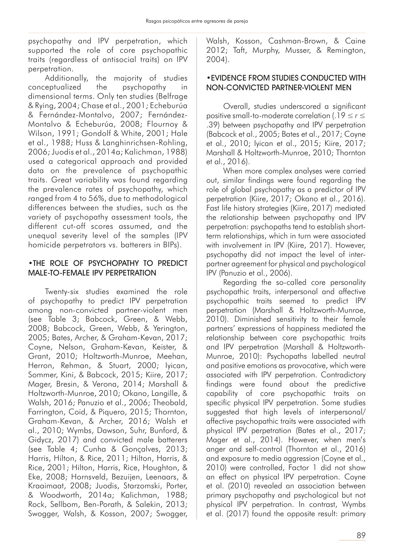psychopathy and IPV perpetration, which supported the role of core psychopathic traits (regardless of antisocial traits) on IPV perpetration.

Additionally, the majority of studies conceptualized the psychopathy in dimensional terms. Only ten studies (Belfrage & Rying, 2004; Chase et al., 2001; Echeburúa & Fernández-Montalvo, 2007; Fernández-Montalvo & Echeburúa, 2008; Flournoy & Wilson, 1991; Gondolf & White, 2001; Hale et al., 1988; Huss & Langhinrichsen-Rohling, 2006; Juodis et al., 2014a; Kalichman, 1988) used a categorical approach and provided data on the prevalence of psychopathic traits. Great variability was found regarding the prevalence rates of psychopathy, which ranged from 4 to 56%, due to methodological differences between the studies, such as the variety of psychopathy assessment tools, the different cut-off scores assumed, and the unequal severity level of the samples (IPV homicide perpetrators vs. batterers in BIPs).

### •THE ROLE OF PSYCHOPATHY TO PREDICT MALE-TO-FEMALE IPV PERPETRATION

Twenty-six studies examined the role of psychopathy to predict IPV perpetration among non-convicted partner-violent men (see Table 3; Babcock, Green, & Webb, 2008; Babcock, Green, Webb, & Yerington, 2005; Bates, Archer, & Graham-Kevan, 2017; Coyne, Nelson, Graham-Kevan, Keister, & Grant, 2010; Holtzworth-Munroe, Meehan, Herron, Rehman, & Stuart, 2000; Iyican, Sommer, Kini, & Babcock, 2015; Kiire, 2017; Mager, Bresin, & Verona, 2014; Marshall & Holtzworth-Munroe, 2010; Okano, Langille, & Walsh, 2016; Panuzio et al., 2006; Theobald, Farrington, Coid, & Piquero, 2015; Thornton, Graham-Kevan, & Archer, 2016; Walsh et al., 2010; Wymbs, Dawson, Suhr, Bunford, & Gidycz, 2017) and convicted male batterers (see Table 4; Cunha & Gonçalves, 2013; Harris, Hilton, & Rice, 2011; Hilton, Harris, & Rice, 2001; Hilton, Harris, Rice, Houghton, & Eke, 2008; Hornsveld, Bezuijen, Leenaars, & Kraaimaat, 2008; Juodis, Starzomski, Porter, & Woodworth, 2014a; Kalichman, 1988; Rock, Sellbom, Ben-Porath, & Salekin, 2013; Swogger, Walsh, & Kosson, 2007; Swogger, Walsh, Kosson, Cashman-Brown, & Caine 2012; Taft, Murphy, Musser, & Remington, 2004).

### •EVIDENCE FROM STUDIES CONDUCTED WITH NON-CONVICTED PARTNER-VIOLENT MEN

Overall, studies underscored a significant positive small-to-moderate correlation (.19 ≤ *r* ≤ .39) between psychopathy and IPV perpetration (Babcock et al., 2005; Bates et al., 2017; Coyne et al., 2010; Iyican et al., 2015; Kiire, 2017; Marshall & Holtzworth-Munroe, 2010; Thornton et al., 2016).

When more complex analyses were carried out, similar findings were found regarding the role of global psychopathy as a predictor of IPV perpetration (Kiire, 2017; Okano et al., 2016). Fast life history strategies (Kiire, 2017) mediated the relationship between psychopathy and IPV perpetration: psychopaths tend to establish shortterm relationships, which in turn were associated with involvement in IPV (Kiire, 2017). However, psychopathy did not impact the level of interpartner agreement for physical and psychological IPV (Panuzio et al., 2006).

Regarding the so-called core personality psychopathic traits, interpersonal and affective psychopathic traits seemed to predict IPV perpetration (Marshall & Holtzworth-Munroe, 2010). Diminished sensitivity to their female partners' expressions of happiness mediated the relationship between core psychopathic traits and IPV perpetration (Marshall & Holtzworth-Munroe, 2010): Psychopaths labelled neutral and positive emotions as provocative, which were associated with IPV perpetration. Contradictory findings were found about the predictive capability of core psychopathic traits on specific physical IPV perpetration. Some studies suggested that high levels of interpersonal/ affective psychopathic traits were associated with physical IPV perpetration (Bates et al., 2017; Mager et al., 2014). However, when men's anger and self-control (Thornton et al., 2016) and exposure to media aggression (Coyne et al., 2010) were controlled, Factor 1 did not show an effect on physical IPV perpetration. Coyne et al. (2010) revealed an association between primary psychopathy and psychological but not physical IPV perpetration. In contrast, Wymbs et al. (2017) found the opposite result: primary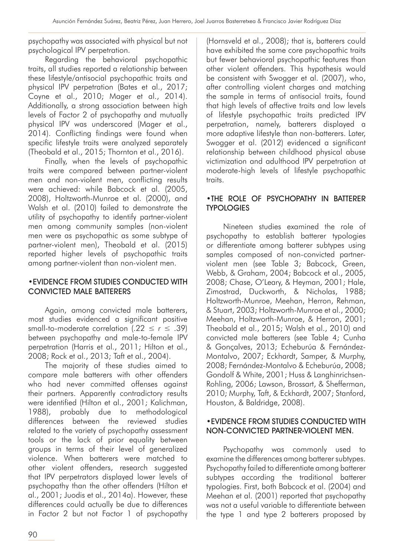psychopathy was associated with physical but not psychological IPV perpetration.

Regarding the behavioral psychopathic traits, all studies reported a relationship between these lifestyle/antisocial psychopathic traits and physical IPV perpetration (Bates et al., 2017; Coyne et al., 2010; Mager et al., 2014). Additionally, a strong association between high levels of Factor 2 of psychopathy and mutually physical IPV was underscored (Mager et al., 2014). Conflicting findings were found when specific lifestyle traits were analyzed separately (Theobald et al., 2015; Thornton et al., 2016).

Finally, when the levels of psychopathic traits were compared between partner-violent men and non-violent men, conflicting results were achieved: while Babcock et al. (2005, 2008), Holtzworth-Munroe et al. (2000), and Walsh et al. (2010) failed to demonstrate the utility of psychopathy to identify partner-violent men among community samples (non-violent men were as psychopathic as some subtype of partner-violent men), Theobald et al. (2015) reported higher levels of psychopathic traits among partner-violent than non-violent men.

### •EVIDENCE FROM STUDIES CONDUCTED WITH CONVICTED MALE BATTERERS

Again, among convicted male batterers, most studies evidenced a significant positive small-to-moderate correlation (.22 ≤ *r* ≤ .39) between psychopathy and male-to-female IPV perpetration (Harris et al., 2011; Hilton et al., 2008; Rock et al., 2013; Taft et al., 2004).

The majority of these studies aimed to compare male batterers with other offenders who had never committed offenses against their partners. Apparently contradictory results were identified (Hilton et al., 2001; Kalichman, 1988), probably due to methodological differences between the reviewed studies related to the variety of psychopathy assessment tools or the lack of prior equality between groups in terms of their level of generalized violence. When batterers were matched to other violent offenders, research suggested that IPV perpetrators displayed lower levels of psychopathy than the other offenders (Hilton et al., 2001; Juodis et al., 2014a). However, these differences could actually be due to differences in Factor 2 but not Factor 1 of psychopathy

(Hornsveld et al., 2008); that is, batterers could have exhibited the same core psychopathic traits but fewer behavioral psychopathic features than other violent offenders. This hypothesis would be consistent with Swogger et al. (2007), who, after controlling violent charges and matching the sample in terms of antisocial traits, found that high levels of affective traits and low levels of lifestyle psychopathic traits predicted IPV perpetration, namely, batterers displayed a more adaptive lifestyle than non-batterers. Later, Swogger et al. (2012) evidenced a significant relationship between childhood physical abuse victimization and adulthood IPV perpetration at moderate-high levels of lifestyle psychopathic traits.

### •THE ROLE OF PSYCHOPATHY IN BATTERER **TYPOLOGIES**

Nineteen studies examined the role of psychopathy to establish batterer typologies or differentiate among batterer subtypes using samples composed of non-convicted partnerviolent men (see Table 3; Babcock, Green, Webb, & Graham, 2004; Babcock et al., 2005, 2008; Chase, O'Leary, & Heyman, 2001; Hale, Zimostrad, Duckworth, & Nicholas, 1988; Holtzworth-Munroe, Meehan, Herron, Rehman, & Stuart, 2003; Holtzworth-Munroe et al., 2000; Meehan, Holtzworth-Munroe, & Herron, 2001; Theobald et al., 2015; Walsh et al., 2010) and convicted male batterers (see Table 4; Cunha & Gonçalves, 2013; Echeburúa & Fernández-Montalvo, 2007; Eckhardt, Samper, & Murphy, 2008; Fernández-Montalvo & Echeburúa, 2008; Gondolf & White, 2001; Huss & Langhinrichsen-Rohling, 2006; Lawson, Brossart, & Shefferman, 2010; Murphy, Taft, & Eckhardt, 2007; Stanford, Houston, & Baldridge, 2008).

### •EVIDENCE FROM STUDIES CONDUCTED WITH NON-CONVICTED PARTNER-VIOLENT MEN.

Psychopathy was commonly used to examine the differences among batterer subtypes. Psychopathy failed to differentiate among batterer subtypes according the traditional batterer typologies. First, both Babcock et al. (2004) and Meehan et al. (2001) reported that psychopathy was not a useful variable to differentiate between the type 1 and type 2 batterers proposed by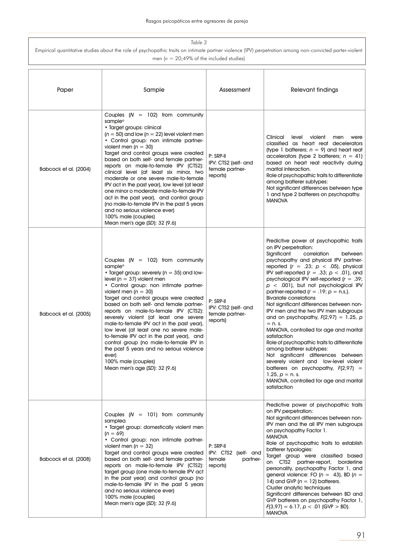| Table 3                                                                                                                                                 |
|---------------------------------------------------------------------------------------------------------------------------------------------------------|
| Empirical quantitative studies about the role of psychopathic traits on intimate partner violence (IPV) perpetration among non-convicted parter-violent |
| men ( $n = 20,49\%$ of the included studies)                                                                                                            |

| Paper                 | Sample                                                                                                                                                                                                                                                                                                                                                                                                                                                                                                                                                                                                                                                                                                            | Assessment                                                          | Relevant findings                                                                                                                                                                                                                                                                                                                                                                                                                                                                                                                                                                                                                                                                                                                                                                                                                                                                                                                |  |
|-----------------------|-------------------------------------------------------------------------------------------------------------------------------------------------------------------------------------------------------------------------------------------------------------------------------------------------------------------------------------------------------------------------------------------------------------------------------------------------------------------------------------------------------------------------------------------------------------------------------------------------------------------------------------------------------------------------------------------------------------------|---------------------------------------------------------------------|----------------------------------------------------------------------------------------------------------------------------------------------------------------------------------------------------------------------------------------------------------------------------------------------------------------------------------------------------------------------------------------------------------------------------------------------------------------------------------------------------------------------------------------------------------------------------------------------------------------------------------------------------------------------------------------------------------------------------------------------------------------------------------------------------------------------------------------------------------------------------------------------------------------------------------|--|
| Babcock et al. (2004) | Couples $(N = 102)$ from community<br>sample <sup>a</sup><br>• Target groups: clinical<br>$(n = 50)$ and low $(n = 22)$ level violent men<br>• Control group: non intimate partner-<br>violent men ( $n = 30$ )<br>Target and control groups were created<br>based on both self- and female partner-<br>reports on male-to-female IPV (CTS2):<br>clinical level (at least six minor, two<br>moderate or one severe male-to-female<br>IPV act in the past year), low level (at least<br>one minor o moderate male-to-female IPV<br>act in the past year), and control group<br>(no male-to-female IPV in the past 5 years<br>and no serious violence ever)<br>100% male (couples)<br>Mean men's age (SD): 32 (9.6) | P: SRP-II<br>IPV: CTS2 (self- and<br>female partner-<br>reports)    | Clinical<br>level<br>violent<br>men<br>were<br>classified as heart reat decelerators<br>(type 1 batterers; $n = 9$ ) and heart reat<br>accelerators (type 2 batterers; $n = 41$ )<br>based on heart reat reactivity during<br>marital interaction.<br>Role of psychopathic traits to differentiate<br>among batterer subtypes:<br>Not significant differences between type<br>1 and type 2 batterers on psychopathy.<br><b>MANOVA</b>                                                                                                                                                                                                                                                                                                                                                                                                                                                                                            |  |
| Babcock et al. (2005) | Couples $(N = 102)$ from community<br>sample <sup>a</sup><br>• Target group: severely ( $n = 35$ ) and low-<br>level ( $n = 37$ ) violent men<br>• Control group: non intimate partner-<br>violent men ( $n = 30$ )<br>Target and control groups were created<br>based on both self- and female partner-<br>reports on male-to-female IPV (CTS2):<br>severely violent (at least one severe<br>male-to-female IPV act in the past year),<br>low level (at least one no severe male-<br>to-female IPV act in the past year), and<br>control group (no male-to-female IPV in<br>the past 5 years and no serious violence<br>ever)<br>100% male (couples)<br>Mean men's age (SD): 32 (9.6)                            | P: SRP-II<br>IPV: CTS2 (self- and<br>female partner-<br>reports)    | Predictive power of psychopathic traits<br>on IPV perpetration:<br>Sianificant<br>correlation<br>between<br>psychopathy and physical IPV partner-<br>reported ( $r = .23$ ; $p < .05$ ), physical<br>IPV self-reported ( $r = .33$ ; $p < .01$ ), and<br>psychological IPV self-reported $(r = .39)$ ;<br>$p < .001$ ), but not psychological IPV<br>partner-reported ( $r = .19$ ; $p = n.s.$ ).<br><b>Bivariate correlations</b><br>Not significant differences between non-<br>IPV men and the two IPV men subgroups<br>and on psychopathy, $F(2,97) = 1.25$ , p<br>$= n. s.$<br>MANOVA, controlled for age and marital<br>satisfaction<br>Role of psychopathic traits to differentiate<br>among batterer subtypes:<br>Not significant differences between<br>severely violent and low-level violent<br>batterers on psychopathy, $F(2,97) =$<br>1.25, $p = n$ . s.<br>MANOVA, controlled for age and marital<br>satisfaction |  |
| Babcock et al. (2008) | Couples $(N = 101)$ from community<br>samplea<br>• Target group: domestically violent men<br>$(n = 69)$<br>• Control group: non intimate partner-<br>violent men ( $n = 32$ )<br>Target and control groups were created<br>based on both self- and female partner-<br>reports on male-to-female IPV (CTS2):<br>target group (one male-to-female IPV act<br>in the past year) and control group (no<br>male-to-female IPV in the past 5 years<br>and no serious violence ever)<br>100% male (couples)<br>Mean men's age (SD): 32 (9.6)                                                                                                                                                                             | P: SRP-II<br>IPV: CTS2 (self- and<br>female<br>partner-<br>reports) | Predictive power of psychopathic traits<br>on IPV perpetration:<br>Not significant differences between non-<br>IPV men and the all IPV men subgroups<br>on psychopathy Factor 1.<br><b>MANOVA</b><br>Role of psychopathic traits to establish<br>batterer typologies:<br>Target group were classified based<br>on CTS2 partner-report,<br>borderline<br>personality, psychopathy Factor 1, and<br>general violence: FO ( $n = 43$ ), BD ( $n =$<br>14) and GVP ( $n = 12$ ) batterers.<br>Cluster analytic techniques<br>Significant differences between BD and<br>GVP batterers on psychopathy Factor 1,<br>$F(3,97) = 6.17$ , $p < .01$ (GVP > BD).<br><b>MANOVA</b>                                                                                                                                                                                                                                                           |  |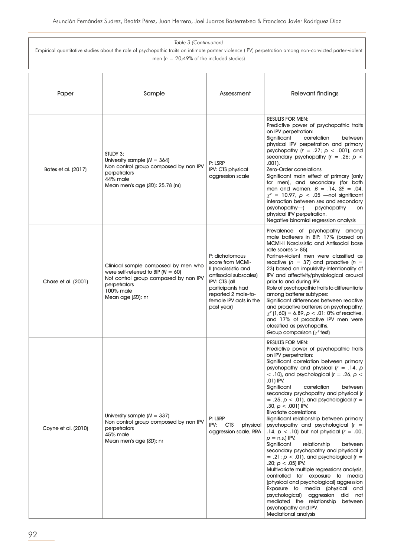| Paper               | Sample                                                                                                                                                                   | Assessment                                                                                                                                                                              | Relevant findings                                                                                                                                                                                                                                                                                                                                                                                                                                                                                                                                                                                                                                                                                                                                                                                                                                                                                                                                                                                                                                                                     |
|---------------------|--------------------------------------------------------------------------------------------------------------------------------------------------------------------------|-----------------------------------------------------------------------------------------------------------------------------------------------------------------------------------------|---------------------------------------------------------------------------------------------------------------------------------------------------------------------------------------------------------------------------------------------------------------------------------------------------------------------------------------------------------------------------------------------------------------------------------------------------------------------------------------------------------------------------------------------------------------------------------------------------------------------------------------------------------------------------------------------------------------------------------------------------------------------------------------------------------------------------------------------------------------------------------------------------------------------------------------------------------------------------------------------------------------------------------------------------------------------------------------|
| Bates et al. (2017) | STUDY 3:<br>University sample $(N = 364)$<br>Non control group composed by non IPV<br>perpetrators<br>44% male<br>Mean men's age (SD): 25.78 (nr)                        | P: LSRP<br>IPV: CTS physical<br>aggression scale                                                                                                                                        | <b>RESULTS FOR MEN:</b><br>Predictive power of psychopathic traits<br>on IPV perpetration:<br>correlation<br>Significant<br>between<br>physical IPV perpetration and primary<br>psychopathy ( $r = .27$ ; $p < .001$ ), and<br>secondary psychopathy $(r = .26; p <$<br>$.001$ ).<br>Zero-Order correlations<br>Significant main effect of primary (only<br>for men), and secondary (for both<br>men and women, $\beta = .14$ , SE = .04,<br>$\chi^2$ = 10.97, $p < .05$ —not significant<br>interaction between sex and secondary<br>$psychopathy$ — $)$<br>psychopathy<br>on<br>physical IPV perpetration.<br>Negative binomial regression analysis                                                                                                                                                                                                                                                                                                                                                                                                                                 |
| Chase et al. (2001) | Clinical sample composed by men who<br>were self-referred to BIP ( $N = 60$ )<br>Not control group composed by non IPV<br>perpetrators<br>100% male<br>Mean age (SD): nr | P: dichotomous<br>score from MCMI-<br>Il (narcissistic and<br>antisocial subscales)<br>IPV: CTS (all<br>participants had<br>reported 2 male-to-<br>female IPV acts in the<br>past year) | Prevalence of psychopathy among<br>male batterers in BIP: 17% (based on<br><b>MCMI-II Narcissistic and Antisocial base</b><br>rate scores $> 85$ ).<br>Partner-violent men were classified as<br>reactive ( $n = 37$ ) and proactive ( $n =$<br>23) based on impulsivity-intentionality of<br>IPV and affectivity/physiological arousal<br>prior to and during IPV.<br>Role of psychopathic traits to differentiate<br>among batterer subtypes:<br>Significant differences between reactive<br>and proactive batterers on psychopathy,<br>$\chi^2$ (1,60) = 6.89, p < .01: 0% of reactive,<br>and 17% of proactive IPV men were<br>classified as psychopaths.<br>Group comparison ( $\chi^2$ test)                                                                                                                                                                                                                                                                                                                                                                                    |
| Coyne et al. (2010) | University sample $(N = 337)$<br>Non control group composed by non IPV<br>perpetrators<br>45% male<br>Mean men's age (SD): nr                                            | P: LSRP<br>IPV:<br><b>CTS</b><br>physical<br>aggression scale, RRA                                                                                                                      | <b>RESULTS FOR MEN:</b><br>Predictive power of psychopathic traits<br>on IPV perpetration:<br>Significant correlation between primary<br>psychopathy and physical ( $r = .14$ , p<br>$<$ .10), and psychological ( $r = .26$ , $p <$<br>.01) IPV.<br>Significant<br>correlation<br>between<br>secondary psychopathy and physical (r<br>$= .25, p < .01$ , and psychological ( $r =$<br>.30, $p < .001$ ) IPV.<br><b>Bivariate correlations</b><br>Significant relationship between primary<br>psychopathy and psychological $(r =$<br>.14, $p < .10$ ) but not physical ( $r = .00$ ,<br>$p = n.s$ .) IPV.<br>Significant<br>relationship<br>between<br>secondary psychopathy and physical (r<br>$= .21$ ; $p < .01$ ), and psychological ( $r =$<br>.20; $p < .05$ ) IPV.<br>Multivariate multiple regressions analysis,<br>controlled for exposure to media<br>(physical and psychological) aggression<br>Exposure to media (physical and<br>psychological) aggression<br>did<br>not<br>mediated the relationship<br>between<br>psychopathy and IPV.<br><b>Mediational analysis</b> |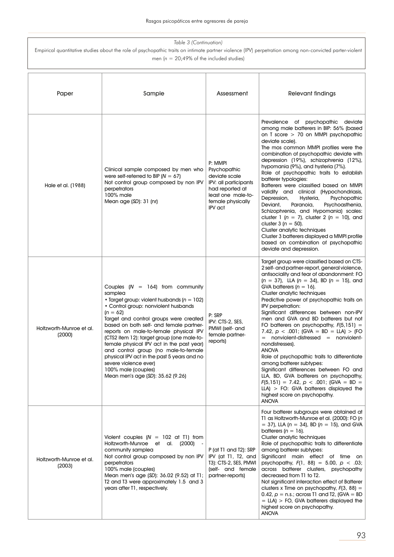| Paper                              | Sample                                                                                                                                                                                                                                                                                                                                                                                                                                                                                                                                                      | Assessment                                                                                                                                        | Relevant findings                                                                                                                                                                                                                                                                                                                                                                                                                                                                                                                                                                                                                                                                                                                                                                                                                                                                                         |  |
|------------------------------------|-------------------------------------------------------------------------------------------------------------------------------------------------------------------------------------------------------------------------------------------------------------------------------------------------------------------------------------------------------------------------------------------------------------------------------------------------------------------------------------------------------------------------------------------------------------|---------------------------------------------------------------------------------------------------------------------------------------------------|-----------------------------------------------------------------------------------------------------------------------------------------------------------------------------------------------------------------------------------------------------------------------------------------------------------------------------------------------------------------------------------------------------------------------------------------------------------------------------------------------------------------------------------------------------------------------------------------------------------------------------------------------------------------------------------------------------------------------------------------------------------------------------------------------------------------------------------------------------------------------------------------------------------|--|
| Hale et al. (1988)                 | Clinical sample composed by men who<br>were self-referred to BIP ( $N = 67$ )<br>Not control group composed by non IPV<br>perpetrators<br>100% male<br>Mean age $(SD)$ : 31 (nr)                                                                                                                                                                                                                                                                                                                                                                            | P: MMPI<br>Psychopathic<br>deviate scale<br>IPV: all participants<br>had reported at<br>least one male-to-<br>female physically<br><b>IPV</b> act | Prevalence of psychopathic deviate<br>among male batterers in BIP: 56% (based<br>on T score > 70 on MMPI psychopathic<br>deviate scale).<br>The mos common MMPI profiles were the<br>combination of psychopathic deviate with<br>depression (19%), schizophrenia (12%),<br>hypomania (9%), and hysteria (7%).<br>Role of psychopathic traits to establish<br>batterer typologies:<br>Batterers were classified based on MMPI<br>validity and clinical (Hypochondriasis,<br>Depression,<br>Hysteria,<br>Psychopathic<br>Deviant,<br>Psychoasthenia,<br>Paranoia,<br>Schizophrenia, and Hypomania) scales:<br>cluster 1 ( $n = 7$ ), cluster 2 ( $n = 10$ ), and<br>cluster $3 (n = 50)$ .<br>Cluster analytic techniques<br>Cluster 3 batterers displayed a MMPI profile<br>based on combination of psychopathic<br>deviate and depression.                                                                |  |
| Holtzworth-Munroe et al.<br>(2000) | Couples $(N = 164)$ from community<br>samplea<br>• Target group: violent husbands ( $n = 102$ )<br>• Control group: nonviolent husbands<br>$(n = 62)$<br>Target and control groups were created<br>based on both self- and female partner-<br>reports on male-to-female physical IPV<br>(CTS2 item 12): target group (one male-to-<br>female physical IPV act in the past year)<br>and control group (no male-to-female<br>physical IPV act in the past 5 years and no<br>severe violence ever)<br>100% male (couples)<br>Mean men's age (SD): 35.62 (9.26) | P: SRP<br>IPV: CTS-2, SES,<br>PMWI (self- and<br>female partner-<br>reports)                                                                      | Target group were classified based on CTS-<br>2 self- and partner-report, general violence,<br>antisociality and fear of abandonment: FO<br>$(n = 37)$ , LLA $(n = 34)$ , BD $(n = 15)$ , and<br>GVA batterers $(n = 16)$ .<br>Cluster analytic techniques<br>Predictive power of psychopathic traits on<br>IPV perpetration:<br>Significant differences between non-IPV<br>men and GVA and BD batterers but not<br>FO batterers on psychopathy, $F(5,151) =$<br>7.42, $p < .001$ ; (GVA = BD = LLA) > (FO<br>$=$ nonviolent-distressed $=$ nonviolent-<br>nondistresses).<br><b>ANOVA</b><br>Role of psychopathic traits to differentiate<br>among batterer subtypes:<br>Significant differences between FO and<br>LLA, BD, GVA batterers on psychopathy,<br>$F(5, 151) = 7.42$ , $p < .001$ ; (GVA = BD =<br>$LLA$ ) > FO: GVA batterers displayed the<br>highest score on psychopathy.<br><b>ANOVA</b> |  |
| Holtzworth-Munroe et al.<br>(2003) | Violent couples $(N = 102$ at T1) from<br>Holtzworth-Munroe et al. (2000)<br>community samplea<br>Not control group composed by non IPV<br>perpetrators<br>100% male (couples)<br>Mean men's age (SD): 36.02 (9.52) at T1;<br>T2 and T3 were approximately 1.5 and 3<br>years after T1, respectively.                                                                                                                                                                                                                                                       | P (at T1 and T2): SRP<br>IPV (at T1, T2, and<br>T3): CTS-2, SES, PMWI<br>(self- and female<br>partner-reports)                                    | Four batterer subgroups were obtained at<br>T1 as Holtzworth-Munroe et al. (2000): FO (n<br>$=$ 37), LLA (n = 34), BD (n = 15), and GVA<br>batterers ( $n = 16$ ).<br>Cluster analytic techniques<br>Role of psychopathic traits to differentiate<br>among batterer subtypes:<br>Significant main effect of time on<br>psychopathy, $F(1, 88) = 5.00$ , $p < .03$ ;<br>across batterer clusters, psychopathy<br>decreased from T1 to T2.<br>Not significant interaction effect of Batterer<br>clusters x Time on psychopathy, $F(3, 88) =$<br>0.42, $p = n.s.$ ; across T1 and T2, (GVA = BD<br>$= LLA$ ) > FO, GVA batterers displayed the<br>highest score on psychopathy.<br><b>ANOVA</b>                                                                                                                                                                                                              |  |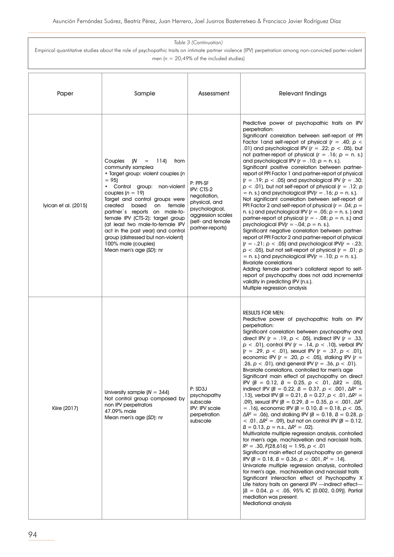| Paper                | Sample                                                                                                                                                                                                                                                                                                                                                                                                                                                                                                  | Assessment                                                                                                                               | Relevant findings                                                                                                                                                                                                                                                                                                                                                                                                                                                                                                                                                                                                                                                                                                                                                                                                                                                                                                                                                                                                                                                                                                                                                                                                                                                                                                                                                                                                                                                                                                                                                                                                                                                                                                                                                      |
|----------------------|---------------------------------------------------------------------------------------------------------------------------------------------------------------------------------------------------------------------------------------------------------------------------------------------------------------------------------------------------------------------------------------------------------------------------------------------------------------------------------------------------------|------------------------------------------------------------------------------------------------------------------------------------------|------------------------------------------------------------------------------------------------------------------------------------------------------------------------------------------------------------------------------------------------------------------------------------------------------------------------------------------------------------------------------------------------------------------------------------------------------------------------------------------------------------------------------------------------------------------------------------------------------------------------------------------------------------------------------------------------------------------------------------------------------------------------------------------------------------------------------------------------------------------------------------------------------------------------------------------------------------------------------------------------------------------------------------------------------------------------------------------------------------------------------------------------------------------------------------------------------------------------------------------------------------------------------------------------------------------------------------------------------------------------------------------------------------------------------------------------------------------------------------------------------------------------------------------------------------------------------------------------------------------------------------------------------------------------------------------------------------------------------------------------------------------------|
| lyican et al. (2015) | (N<br>Couples<br>114)<br>$\hspace{1.6cm} = \hspace{1.6cm}$<br>from<br>community samplea<br>· Target group: violent couples (n<br>$= 951$<br>• Control group: non-violent<br>couples $(n = 19)$<br>Target and control groups were<br>created<br>based<br>on female<br>partner's reports on male-to-<br>female IPV (CTS-2): target group<br>(at least two male-to-female IPV<br>act in the past year) and control<br>group (distressed but non-violent)<br>100% male (couples)<br>Mean men's age (SD): nr | P: PPI-SF<br>IPV: CTS-2<br>negotiation,<br>physical, and<br>psychological,<br>aggression scales<br>(self- and female<br>partner-reports) | Predictive power of psychopathic traits on IPV<br>perpetration:<br>Significant correlation between self-report of PPI<br>Factor 1 and self-report of physical ( $r = .40$ ; $p <$<br>.01) and psychological IPV ( $r = .22$ ; $p < .05$ ), but<br>not partner-report of physical ( $r = .16$ ; $p = n$ . s.)<br>and psychological IPV ( $r = .10$ ; $p = n$ . s.).<br>Significant positive correlation between partner-<br>report of PPI Factor 1 and partner-report of physical<br>$(r = .19; p < .05)$ and psychological IPV $(r = .30;$<br>$p < .01$ ), but not self-report of physical ( $r = .12$ ; p<br>= n. s.) and psychological IPV( $r = .16$ ; $p = n$ . s.).<br>Not significant correlation between self-report of<br>PPI Factor 2 and self-report of physical ( $r = .04$ ; $p =$<br>n. s.) and psychological IPV ( $r = .05$ ; $p = n$ . s.) and<br>partner-report of physical ( $r = -0.08$ ; $p = n$ . s.) and<br>psychological IPV( $r = -04$ ; $p = n$ . s.).<br>Significant negative correlation between partner-<br>report of PPI Factor 2 and partner-report of physical<br>$(r = -.21; p < .05)$ and psychological IPV( $r = -.23$ ;<br>$p < .05$ ), but not self-report of physical ( $r = .01$ ; p<br>= n. s.) and psychological IPV( $r = .10$ ; $p = n$ . s.).<br><b>Bivariate correlations</b><br>Adding female partner's collateral report to self-<br>report of psychopathy does not add incremental<br>validity in predicting IPV (n.s.).<br>Multiple regression analysis                                                                                                                                                                                                                                                                |
| Kiire (2017)         | University sample $(N = 344)$<br>Not control group composed by<br>non IPV perpetrators<br>47.09% male<br>Mean men's age (SD): nr                                                                                                                                                                                                                                                                                                                                                                        | P: SD3J<br>psychopathy<br>subscale<br>IPV: IPV scale<br>perpetration<br>subscale                                                         | <b>RESULTS FOR MEN:</b><br>Predictive power of psychopathic traits on IPV<br>perpetration:<br>Significant correlation between psychopathy and<br>direct IPV ( $r = .19$ , $p < .05$ ), indirect IPV ( $r = .33$ ,<br>$p < .01$ ), control IPV ( $r = .14$ , $p < .10$ ), verbal IPV<br>$(r = .29, p < .01)$ , sexual IPV $(r = .37, p < .01)$ ,<br>economic IPV ( $r = .20$ , $p < .05$ ), stalking IPV ( $r =$<br>.26, $p < .01$ ), and general IPV ( $r = .36$ , $p < .01$ ).<br>Bivariate correlations, controlled for men's age<br>Significant main effect of psychopathy on direct<br>IPV $(B = 0.12, B = 0.25, p < .01, \Delta R2 = .05)$ ,<br>indirect IPV ( $B = 0.22$ , $B = 0.37$ , $p < .001$ , $\Delta R^2 =$<br>.13), verbal IPV ( $B = 0.21$ , $B = 0.27$ , $p < .01$ , $\Delta R^2 =$<br>.09), sexual IPV ( $B = 0.29$ , $B = 0.35$ , $D < .001$ , $\Delta R^2$<br>= .16), economic IPV ( $B = 0.10$ , $B = 0.18$ , $p < .05$ ,<br>$\Delta R^2 = .06$ ), and stalking IPV (B = 0.18, B = 0.28, p<br>$<$ .01, ΔR <sup>2</sup> = .09), but not on control IPV (B = 0.12,<br>$\beta = 0.13$ , $p = n.s., \Delta R^2 = .02$ .<br>Multivariate multiple regression analysis, controlled<br>for men's age, machiavellian and narcissist traits,<br>$R^2 = .30, F(28,616) = 1.95, p < .01$<br>Significant main effect of psychopathy on general<br>IPV ( $B = 0.18$ , $B = 0.36$ , $p < .001$ , $R^2 = .14$ ).<br>Univariate multiple regression analysis, controlled<br>for men's age, machiavellian and narcissist traits<br>Significant interaction effect of Psychopathy X<br>Life history traits on general IPV -indirect effect-<br>$\beta = 0.04$ , $p < .05$ , 95% IC (0.002, 0.09)]. Partial<br>mediation was present.<br><b>Mediational analysis</b> |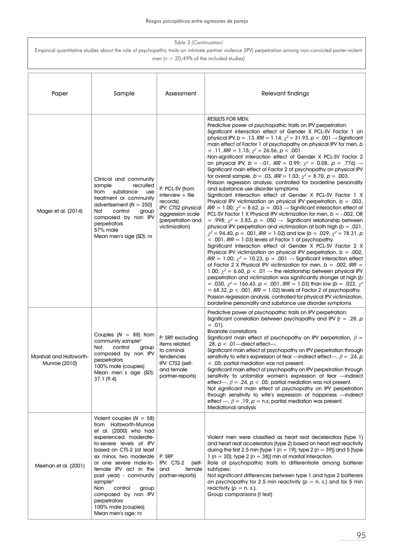| Paper                                     | Sample                                                                                                                                                                                                                                                                                                                                                                                                      | Assessment                                                                                                                         | <b>Relevant findings</b>                                                                                                                                                                                                                                                                                                                                                                                                                                                                                                                                                                                                                                                                                                                                                                                                                                                                                                                                                                                                                                                                                                                                                                                                                                                                                                                                                                                                                                                                                                                                                                                                                                                                                                                                                                                                                                                                                                                                                                                                                                                                                                                                                                                                                         |
|-------------------------------------------|-------------------------------------------------------------------------------------------------------------------------------------------------------------------------------------------------------------------------------------------------------------------------------------------------------------------------------------------------------------------------------------------------------------|------------------------------------------------------------------------------------------------------------------------------------|--------------------------------------------------------------------------------------------------------------------------------------------------------------------------------------------------------------------------------------------------------------------------------------------------------------------------------------------------------------------------------------------------------------------------------------------------------------------------------------------------------------------------------------------------------------------------------------------------------------------------------------------------------------------------------------------------------------------------------------------------------------------------------------------------------------------------------------------------------------------------------------------------------------------------------------------------------------------------------------------------------------------------------------------------------------------------------------------------------------------------------------------------------------------------------------------------------------------------------------------------------------------------------------------------------------------------------------------------------------------------------------------------------------------------------------------------------------------------------------------------------------------------------------------------------------------------------------------------------------------------------------------------------------------------------------------------------------------------------------------------------------------------------------------------------------------------------------------------------------------------------------------------------------------------------------------------------------------------------------------------------------------------------------------------------------------------------------------------------------------------------------------------------------------------------------------------------------------------------------------------|
| Mager et al. (2014)                       | Clinical and community<br>recruited<br>sample<br>from<br>substance<br>use<br>treatment or community<br>advertisement ( $N = 250$ )<br>Not<br>control<br>group<br>composed by non IPV<br>perpetrators<br>57% male<br>Mean men's age (SD): nr                                                                                                                                                                 | P: PCL-SV (from<br>interview $+$ file<br>records)<br>IPV: CTS2 physical<br>aggression scale<br>(perpetration and<br>victimization) | <b>RESULTS FOR MEN:</b><br>Predictive power of psychopathic traits on IPV perpetration:<br>Significant interaction effect of Gender X PCL-SV Factor 1 on<br>physical IPV, b = .13, IRR = 1.14; $\chi^2$ = 31.93, p < .001 $\rightarrow$ Significant<br>main effect of Factor 1 of psychopathy on physical IPV for men, b<br>$=$ .11, IRR = 1.15; $\chi^2$ = 26.56, p < .001.<br>Non-significant interaction effect of Gender X PCL-SV Factor 2<br>on physical IPV, $b = -.01$ , IRR = 0.99; $\chi^2 = 0.08$ , $p = .776$ ) $\rightarrow$<br>Significant main effect of Factor 2 of psychopathy on physical IPV<br>for overall sample, $b = .03$ , $IRR = 1.03$ ; $\chi^2 = 8.70$ , $p = .003$ .<br>Poisson regression analysis, controlled for borderline personality<br>and substance use disorder symptoms<br>Significant interaction effect of Gender X PCL-SV Factor 1 X<br>Physical IPV victimization on physical IPV perpetration, $b = .003$ ,<br>$\textit{IRR} = 1.00$ ; $\chi^2 = 8.62$ , $p = .003 \rightarrow$ Significant interaction effect of<br>PCL-SV Factor 1 X Physical IPV victimization for men, $b = -0.002$ , OR<br>= .998; $\chi^2$ = 3.83, p = .050 $\rightarrow$ Significant relationship between<br>physical IPV perpetration and victimization at both high ( $b = .021$ ,<br>$\chi^2$ = 94.40, p < .001, IRR = 1.02) and low (b = .029, $\chi^2$ = 78.31, p<br>$<$ .001, IRR = 1.03) levels of Factor 1 of psychopathy.<br>Significant interaction effect of Gender X PCL-SV Factor 2 X<br>Physical IPV victimization on physical IPV perpetration, $b = .002$ ,<br>$\textit{IRR} = 1.00$ ; $\chi^2 = 10.23$ , p = .001 $\rightarrow$ Significant interaction effect<br>of Factor 2 X Physical IPV victimization for men, $b = .002$ , IRR =<br>1.00; $\chi^2$ = 6.60, $p < .01$ $\rightarrow$ the relationship between physical IPV<br>perpetration and victimization was significantly stronger at high (b<br>= .030, $\chi^2$ = 166.43, p < .001, IRR = 1.03) than low (b = .022, $\chi^2$<br>$= 68.32$ , $p < .001$ , IRR $= 1.02$ ) levels of Factor 2 of psychopathy.<br>Poisson regression analysis, controlled for physical IPV victimization,<br>borderline personality and substance use disorder symptoms |
| Marshall and Holtzworth-<br>Munroe (2010) | Couples $(N = 88)$ from<br>community sample <sup>b</sup><br>Not<br>control<br>group<br>composed by non IPV<br>perpetrators<br>100% male (couples)<br>Mean men's age (SD):<br>37.1(9.4)                                                                                                                                                                                                                      | P: SRP, excluding<br>items related<br>to criminal<br>tendencies<br>IPV: CTS2 (self-<br>and female<br>partner-reports)              | Predictive power of psychopathic traits on IPV perpetration:<br>Significant correlation between psychopathy and IPV ( $r = .28$ , p<br>$= .01$ ).<br><b>Bivariate correlations</b><br>Significant main effect of psychopathy on IPV perpetration, $\beta =$<br>.28, $p < .01$ —direct effect—.<br>Significant main effect of psychopathy on IPV perpetration through<br>sensitivity to wife's expression of fear —indirect effect—, $\beta = .24$ , p<br>< .05; partial mediation was not present.<br>Significant main effect of psychopathy on IPV perpetration through<br>sensitivity to unfamiliar women's expression of fear —indirect<br>effect—, $\beta = .24$ , $p < .05$ ; partial mediation was not present.<br>Not significant main effect of psychopathy on IPV perpetration<br>through sensitivity to wife's expression of happiness -indirect<br>effect -, $\beta = .19$ , $p = n.s$ ; partial mediation was present.<br><b>Mediational analysis</b>                                                                                                                                                                                                                                                                                                                                                                                                                                                                                                                                                                                                                                                                                                                                                                                                                                                                                                                                                                                                                                                                                                                                                                                                                                                                                |
| Meehan et al. (2001)                      | Violent couples $(N = 58)$<br>from Holtzworth-Munroe<br>et al. (2000) who had<br>experienced moderate-<br>to-severe levels of IPV<br>based on CTS-2 (at least<br>six minor, two moderate<br>or one severe male-to-<br>female IPV act in the<br>past year) - community<br>sample <sup>a</sup><br>control<br>Non<br>group<br>composed by non IPV<br>perpetrators<br>100% male (couples)<br>Mean men's age: nr | P: SRP<br>IPV: CTS-2<br>(self-<br>and<br>female<br>partner-reports)                                                                | Violent men were classified as heart reat decelerators (type 1)<br>and heart reat accelerators (type 2) based on heart reat reactivity<br>during the first 2.5 min [type 1 ( $n = 19$ ); type 2 ( $n = 39$ ] and 5 [type<br>1 ( $n = 20$ ); type 2 ( $n = 38$ )] min of marital interaction.<br>Role of psychopathic traits to differentiate among batterer<br>subtypes:<br>Not significant differences between type 1 and type 2 batterers<br>on psychopathy for 2.5 min reactivity ( $p = n$ . s.) and for 5 min<br>reactivity ( $p = n$ . s.).<br>Group comparisons (t test)                                                                                                                                                                                                                                                                                                                                                                                                                                                                                                                                                                                                                                                                                                                                                                                                                                                                                                                                                                                                                                                                                                                                                                                                                                                                                                                                                                                                                                                                                                                                                                                                                                                                  |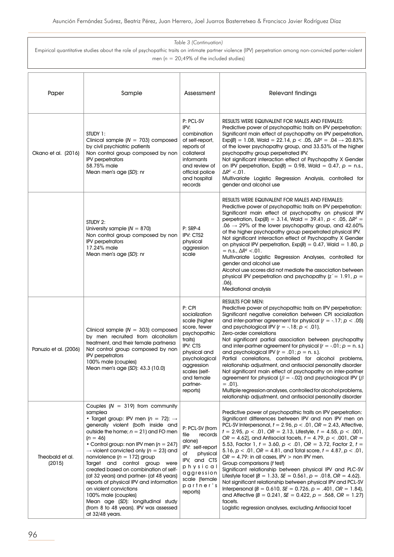| Paper                     | Sample                                                                                                                                                                                                                                                                                                                                                                                                                                                                                                                                                                                                                                                        | Assessment                                                                                                                                                                                            | Relevant findings                                                                                                                                                                                                                                                                                                                                                                                                                                                                                                                                                                                                                                                                                                                                                                                                                                                                                                                                                                                                                        |
|---------------------------|---------------------------------------------------------------------------------------------------------------------------------------------------------------------------------------------------------------------------------------------------------------------------------------------------------------------------------------------------------------------------------------------------------------------------------------------------------------------------------------------------------------------------------------------------------------------------------------------------------------------------------------------------------------|-------------------------------------------------------------------------------------------------------------------------------------------------------------------------------------------------------|------------------------------------------------------------------------------------------------------------------------------------------------------------------------------------------------------------------------------------------------------------------------------------------------------------------------------------------------------------------------------------------------------------------------------------------------------------------------------------------------------------------------------------------------------------------------------------------------------------------------------------------------------------------------------------------------------------------------------------------------------------------------------------------------------------------------------------------------------------------------------------------------------------------------------------------------------------------------------------------------------------------------------------------|
| Okano et al. (2016)       | STUDY 1:<br>Clinical sample ( $N = 703$ ) composed<br>by civil psychiatric patients<br>Non control group composed by non<br><b>IPV</b> perpetrators<br>58.75% male<br>Mean men's age (SD): nr                                                                                                                                                                                                                                                                                                                                                                                                                                                                 | P: PCL-SV<br>IPV:<br>combination<br>of self-report,<br>reports of<br>collateral<br>informants<br>and review of<br>official police<br>and hospital<br>records                                          | <b>RESULTS WERE EQUIVALENT FOR MALES AND FEMALES:</b><br>Predictive power of psychopathic traits on IPV perpetration:<br>Significant main effect of psychopathy on IPV perpetration,<br>$Exp(B) = 1.08$ , Wald = 22.14, $p < .05$ , $\Delta R^2 = .04 \rightarrow 20.83\%$<br>of the lower psychopathy group, and 33.53% of the higher<br>psychopathy group perpetrated IPV.<br>Not significant interaction effect of Psychopathy X Gender<br>on IPV perpetration, $Exp(B) = 0.98$ , Wald = 0.47, $p = n.s.,$<br>$\Delta R^2 < 0.01$ .<br>Multivariate Logistic Regression Analysis, controlled for<br>gender and alcohol use                                                                                                                                                                                                                                                                                                                                                                                                            |
|                           | STUDY 2:<br>University sample $(N = 870)$<br>Non control group composed by non<br><b>IPV</b> perpetrators<br>17.24% male<br>Mean men's age (SD): nr                                                                                                                                                                                                                                                                                                                                                                                                                                                                                                           | $P:$ SRP-4<br>IPV: CTS2<br>physical<br>aggression<br>scale                                                                                                                                            | <b>RESULTS WERE EQUIVALENT FOR MALES AND FEMALES:</b><br>Predictive power of psychopathic traits on IPV perpetration:<br>Significant main effect of psychopathy on physical IPV<br>perpetration, $Exp(B) = 3.14$ , Wald = 39.41, $p < .05$ , $\Delta R^2 =$<br>$.06 \rightarrow 29\%$ of the lower psychopathy group, and 42.60%<br>of the higher psychopathy group perpetrated physical IPV.<br>Not significant interaction effect of Psychopathy X Gender<br>on physical IPV perpetration, $Exp(B) = 0.47$ , Wald = 1.80, p<br>$= n.s., \Delta R^2 < .01.$<br>Multivariate Logistic Regression Analyses, controlled for<br>gender and alcohol use<br>Alcohol use scores did not mediate the association between<br>physical IPV perpetration and psychopathy $z^2 = 1.91$ , $p =$<br>.06).<br><b>Mediational analysis</b>                                                                                                                                                                                                              |
| Panuzio et al. (2006)     | Clinical sample $(N = 303)$ composed<br>by men recruited from alcoholism<br>treatment, and their female partnersa<br>Not control group composed by non<br><b>IPV</b> perpetrators<br>100% male (couples)<br>Mean men's age (SD): 43.3 (10.0)                                                                                                                                                                                                                                                                                                                                                                                                                  | P: CPI<br>socialization<br>scale (higher<br>score, fewer<br>psychopathic<br>traits)<br>IPV: CTS<br>physical and<br>psychological<br>aggression<br>scales (self-<br>and female<br>partner-<br>reports) | <b>RESULTS FOR MEN:</b><br>Predictive power of psychopathic traits on IPV perpetration:<br>Significant negative correlation between CPI socialization<br>and inter-partner agreement for physical ( $r = -.17$ ; $p < .05$ )<br>and psychological IPV $(r = -.18; p < .01)$ .<br>Zero-order correlations<br>Not significant partial association between psychopathy<br>and inter-partner agreement for physical $(r = -.01; p = n. s.)$<br>and psychological IPV $(r = .01; p = n. s.).$<br>Partial correlations, controlled for alcohol problems,<br>relationship adjustment, and antisocial personality disorder<br>Not significant main effect of psychopathy on inter-partner<br>agreement for physical ( $\beta$ = -.02) and psychological IPV ( $\beta$<br>$= .01$ ).<br>Multiple regression analyses, controlled for alcohol problems,<br>relationship adjustment, and antisocial personality disorder                                                                                                                            |
| Theobald et al.<br>(2015) | Couples $(N = 319)$ from community<br>samplea<br>• Target group: IPV men ( $n = 72$ ): $\rightarrow$<br>generally violent (both inside and<br>outside the home; $n = 21$ ) and FO men<br>$(n = 46)$<br>• Control group: non IPV men ( $n = 247$ )<br>$\rightarrow$ violent convicted only (n = 23) and<br>nonviolence ( $n = 172$ ) group<br>Target and control group were<br>created based on combination of self-<br>(at 32 years) and partner- (at 48 years)<br>reports of physical IPV and information<br>on violent convictions<br>100% male (couples)<br>Mean age (SD): longitudinal study<br>(from 8 to 48 years). IPV was assessed<br>at 32/48 years. | P: PCL-SV (from<br>file<br>records<br>alone)<br>IPV: self-report<br>physical<br>оf<br>IPV, and CTS<br>physical<br>aggression<br>scale (female<br>partner's<br>reports)                                | Predictive power of psychopathic traits on IPV perpetration:<br>Significant differences between IPV and non IPV men on<br>PCL-SV Interpersonal, $t = 2.96$ , $p < .01$ , $OR = 2.43$ , Affective,<br>$t = 2.95$ , $p < .01$ , $OR = 2.13$ , Lifestyle, $t = 4.55$ , $p < .001$ ,<br>$OR = 4.62$ ], and Antisocial facets, $t = 4.79$ , $p < .001$ , $OR =$<br>5.53, Factor 1, $t = 3.60$ , $p < .01$ , $OR = 3.72$ , Factor 2, $t =$<br>5.16, $p < .01$ , $OR = 4.81$ , and Total score, $t = 4.87$ , $p < .01$ ,<br>$OR = 4.79$ : in all cases, IPV > non IPV men.<br>Group comparisons (t test)<br>Significant relationship between physical IPV and PLC-SV<br>Lifestyle facet ( $B = 1.33$ , $SE = 0.561$ , $p = .018$ , $OR = 4.62$ ).<br>Not significant relationship between physical IPV and PCL-SV<br>Interpersonal ( $B = 0.610$ , $SE = 0.726$ , $p = .401$ , $OR = 1.84$ ),<br>and Affective ( $B = 0.241$ , $SE = 0.422$ , $p = .568$ , $OR = 1.27$ )<br>facets.<br>Logistic regression analyses, excluding Antisocial facet |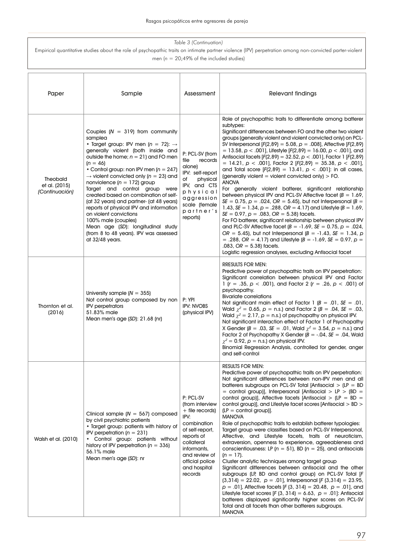| Paper                                              | Sample                                                                                                                                                                                                                                                                                                                                                                                                                                                                                                                                                                                                                                                          | Assessment                                                                                                                                                                                            | <b>Relevant findings</b>                                                                                                                                                                                                                                                                                                                                                                                                                                                                                                                                                                                                                                                                                                                                                                                                                                                                                                                                                                                                                                                                                                                                                                                                                                                                                                                              |
|----------------------------------------------------|-----------------------------------------------------------------------------------------------------------------------------------------------------------------------------------------------------------------------------------------------------------------------------------------------------------------------------------------------------------------------------------------------------------------------------------------------------------------------------------------------------------------------------------------------------------------------------------------------------------------------------------------------------------------|-------------------------------------------------------------------------------------------------------------------------------------------------------------------------------------------------------|-------------------------------------------------------------------------------------------------------------------------------------------------------------------------------------------------------------------------------------------------------------------------------------------------------------------------------------------------------------------------------------------------------------------------------------------------------------------------------------------------------------------------------------------------------------------------------------------------------------------------------------------------------------------------------------------------------------------------------------------------------------------------------------------------------------------------------------------------------------------------------------------------------------------------------------------------------------------------------------------------------------------------------------------------------------------------------------------------------------------------------------------------------------------------------------------------------------------------------------------------------------------------------------------------------------------------------------------------------|
| <b>Theobald</b><br>et al. (2015)<br>(Continuación) | Couples $(N = 319)$ from community<br>samplea<br>• Target group: IPV men ( $n = 72$ ): $\rightarrow$<br>generally violent (both inside and<br>outside the home; $n = 21$ ) and FO men<br>$(n = 46)$<br>• Control group: non IPV men ( $n = 247$ )<br>$\rightarrow$ violent convicted only (n = 23) and<br>nonviolence ( $n = 172$ ) group<br>Target and control group were<br>created based on combination of self-<br>(at 32 years) and partner- (at 48 years)<br>reports of physical IPV and information<br>on violent convictions<br>100% male (couples)<br>Mean age (SD): longitudinal study<br>(from 8 to 48 years). IPV was assessed<br>at $32/48$ years. | P: PCL-SV (from<br>file<br>records<br>alone)<br>IPV: self-report<br>physical<br>оf<br>IPV, and CTS<br>physical<br>aggression<br>scale (female<br>partner's<br>reports)                                | Role of psychopathic traits to differentiate among batterer<br>subtypes:<br>Significant differences between FO and the other two violent<br>groups (generally violent and violent convicted only) on PCL-<br>SV Interpersonal $[F(2,89) = 5.08, p = .008]$ , Affective $[F(2,89)$<br>= 13.58, $p < .001$ ], Lifestyle [F(2,89) = 16.00, $p < .001$ ], and<br>Antisocial facets [F(2,89) = 32.52, $p < .001$ ], Factor 1 [F(2,89)<br>= 14.21, $p < .001$ ], Factor 2 [F(2,89) = 35.38, $p < .001$ ],<br>and Total score $[F(2,89) = 13.41, p < .001]$ : in all cases,<br>(generally violent $=$ violent convicted only) $>$ FO.<br><b>ANOVA</b><br>For generally violent batterer, significant relationship<br>between physical IPV and PCL-SV Affective facet $(B = 1.69)$ ,<br>$SE = 0.75$ , $p = .024$ , $OR = 5.45$ ), but not Interpersonal (B =<br>1.43, SE = 1.34, $p = 0.288$ , OR = 4.17) and Lifestyle (B = 1.69,<br>$SE = 0.97$ , $p = .083$ , $OR = 5.38$ ) facets.<br>For FO batterer, significant relationship between physical IPV<br>and PLC-SV Affective facet $(B = -1.69, SE = 0.75, p = .024,$<br>$OR = 5.45$ ), but not Interpersonal ( $B = -1.43$ , $SE = 1.34$ , p<br>= .288, OR = 4.17) and Lifestyle $(B = -1.69, SE = 0.97, p =$<br>$.083$ , OR = 5.38) facets.<br>Logistic regression analyses, excluding Antisocial facet |
| Thornton et al.<br>(2016)                          | University sample $(N = 355)$<br>Not control group composed by non<br><b>IPV</b> perpetrators<br>51.83% male<br>Mean men's age $(SD)$ : 21.68 (nr)                                                                                                                                                                                                                                                                                                                                                                                                                                                                                                              | P: YPI<br><b>IPV: NVOBS</b><br>(physical IPV)                                                                                                                                                         | <b>RRESULTS FOR MEN:</b><br>Predictive power of psychopathic traits on IPV perpetration:<br>Significant correlation between physical IPV and Factor<br>1 (r = .35, $p < .001$ ), and Factor 2 (r = .26, $p < .001$ ) of<br>psychopathy.<br><b>Bivariate correlations</b><br>Not significant main effect of Factor 1 ( $B = .01$ , $SE = .01$ ,<br>Wald $\chi^2 = 0.65$ , $p = n.s$ .) and Factor 2 ( $B = .04$ , $SE = .03$ ,<br>Wald $\chi^2 = 2.17$ , $p = n.s$ .) of psychopathy on physical IPV.<br>Not significant interaction effect of Factor 1 of Psychopathy<br>X Gender (B = .03, SE = .01, Wald $\chi^2$ = 3.54, p = n.s.) and<br>Factor 2 of Psychopathy X Gender ( $B = -0.04$ , $SE = 0.04$ , Wald<br>$\chi^2$ = 0.92, p = n.s.) on physical IPV.<br>Binomial Regression Analysis, controlled for gender, anger<br>and self-control                                                                                                                                                                                                                                                                                                                                                                                                                                                                                                     |
| Walsh et al. (2010)                                | Clinical sample $(N = 567)$ composed<br>by civil psychiatric patients<br>• Target group: patients with history of<br>IPV perpetration ( $n = 231$ )<br>Control group: patients without<br>history of IPV perpetration ( $n = 336$ )<br>56.1% male<br>Mean men's age (SD): nr                                                                                                                                                                                                                                                                                                                                                                                    | P: PCL-SV<br>(from interview<br>$+$ file records)<br>IPV:<br>combination<br>of self-report,<br>reports of<br>collateral<br>informants.<br>and review of<br>official police<br>and hospital<br>records | <b>RESULTS FOR MEN:</b><br>Predictive power of psychopathic traits on IPV perpetration:<br>Not significant differences between non-IPV men and all<br>batterers subgroups on PCL-SV Total [Antisocial $>$ (LP = BD<br>= control group)], Interpersonal [Antisocial > LP > $(BD =$<br>control group)], Affective facets [Antisocial $>$ (LP = BD =<br>control group)], and Lifestyle facet scores [Antisocial > BD ><br>$[LP =$ control group]].<br><b>MANOVA</b><br>Role of psychopathic traits to establish batterer typologies:<br>Target group were classifies based on PCL-SV Interpersonal,<br>Affective, and Lifestyle facets, traits of neuroticism,<br>extraversion, openness to experience, agreeableness and<br>conscientiousness: LP ( $n = 51$ ), BD ( $n = 25$ ), and antisocials<br>$(n = 17)$ .<br>Cluster analytic techniques among target group<br>Significant differences between antisocial and the other<br>subgroups (LP, BD and control group) on PCL-SV Total [F<br>$(3,314) = 22.02$ , $p = .01$ ], Interpersonal [F $(3,314) = 23.95$ ,<br>$p = .01$ ], Affective facets [F (3, 314) = 20.48, $p = .01$ ], and<br>Lifestyle facet scores [F (3, 314) = 6.63, $p = .01$ ]: Antisocial<br>batterers displayed significantly higher scores on PCL-SV<br>Total and all facets than other batterers subgroups.<br><b>MANOVA</b>   |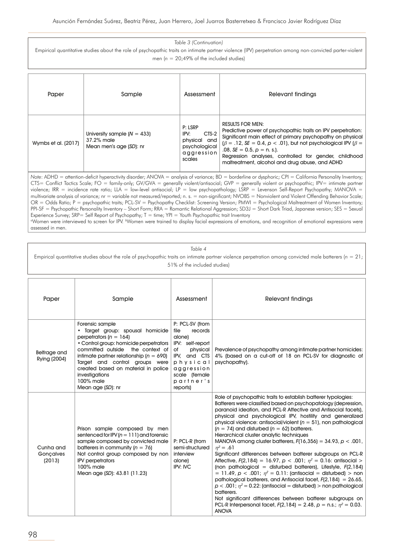Empirical quantitative studies about the role of psychopathic traits on intimate partner violence (IPV) perpetration among non-convicted parter-violent men ( $n = 20,49\%$  of the included studies)

| Paper               | Sample                                                                 | Assessment                                                                        | Relevant findinas                                                                                                                                                                                                                                                                                                                                                                     |
|---------------------|------------------------------------------------------------------------|-----------------------------------------------------------------------------------|---------------------------------------------------------------------------------------------------------------------------------------------------------------------------------------------------------------------------------------------------------------------------------------------------------------------------------------------------------------------------------------|
| Wymbs et al. (2017) | University sample $(N = 433)$<br>37.2% male<br>Mean men's age (SD): nr | P: LSRP<br>CTS-2<br>IPV:<br>physical and<br>psychological<br>aggression<br>scales | <b>RESULTS FOR MEN:</b><br>Predictive power of psychopathic traits on IPV perpetration:<br>Significant main effect of primary psychopathy on physical<br>$(\beta = .12, SE = 0.4, p < .01)$ , but not psychological IPV ( $\beta = 1$ )<br>$.08.$ SE = 0.5, $p = n$ , s.).<br>Regression analyses, controlled for gender, childhood<br>maltreatment, alcohol and drug abuse, and ADHD |

*Note*: ADHD = attention-deficit hyperactivity disorder; ANOVA = analysis of variance; BD = borderline or dysphoric; CPI = California Personality Inventory; CTS= Conflict Tactics Scale; FO = family-only; GV/GVA = generally violent/antisocial; GVP = generally violent or psychopathic; IPV= intimate partner violence; IRR = incidence rate ratio; LLA = low-level antisocial; LP = low psychopathology; LSRP = Levenson Self-Report Psychopathy; MANOVA = multivariate analysis of variance; nr = variable not measured/reported; n. s. = non-significant; NVOBS = Nonviolent and Violent Offending Behavior Scale; OR = Odds Ratio; P = psychopathic traits; PCL-SV = Psychopathy Checklist: Screening Version; PMWI = Psychological Maltreatment of Women Inventory; PPI-SF = Psychopathic Personality Inventory – Short Form; RRA = Romantic Relational Aggression; SD3J = Short Dark Triad, Japanese version; SES = Sexual Experience Survey; SRP= Self Report of Psychopathy; T = time; YPI = Youth Psychopathic trait Inventory <sup>a</sup>Women were interviewed to screen for IPV. <sup>b</sup>Women were trained to display facial expressions of emotions, and recognition of emotional expressions were assessed in men.

#### *Table 4*

Empirical quantitative studies about the role of psychopathic traits on intimate partner violence perpetration among convicted male batterers (*n* = 21; 51% of the included studies)

| Paper                            | Sample                                                                                                                                                                                                                                                                                                                                      | Assessment                                                                                                                                                             | Relevant findings                                                                                                                                                                                                                                                                                                                                                                                                                                                                                                                                                                                                                                                                                                                                                                                                                                                                                                                                                                                                                                                                                                                              |
|----------------------------------|---------------------------------------------------------------------------------------------------------------------------------------------------------------------------------------------------------------------------------------------------------------------------------------------------------------------------------------------|------------------------------------------------------------------------------------------------------------------------------------------------------------------------|------------------------------------------------------------------------------------------------------------------------------------------------------------------------------------------------------------------------------------------------------------------------------------------------------------------------------------------------------------------------------------------------------------------------------------------------------------------------------------------------------------------------------------------------------------------------------------------------------------------------------------------------------------------------------------------------------------------------------------------------------------------------------------------------------------------------------------------------------------------------------------------------------------------------------------------------------------------------------------------------------------------------------------------------------------------------------------------------------------------------------------------------|
| Belfrage and<br>Rying (2004)     | Forensic sample<br>· Target group: spousal homicide<br>perpetrators ( $n = 164$ )<br>• Control group: homicide perpetrators<br>committed outside the context of<br>intimate partner relationship ( $n = 690$ )<br>Target and control groups were<br>created based on material in police<br>investigations<br>100% male<br>Mean age (SD): nr | P: PCL-SV (from<br>file<br>records<br>alone)<br>IPV: self-report<br>physical<br>of<br>IPV, and CTS<br>physical<br>aggression<br>scale (female<br>partner's<br>reports) | Prevalence of psychopathy among intimate partner homicides:<br>4% (based on a cut-off of 18 on PCL-SV for diagnostic of<br>psychopathy).                                                                                                                                                                                                                                                                                                                                                                                                                                                                                                                                                                                                                                                                                                                                                                                                                                                                                                                                                                                                       |
| Cunha and<br>Gonçalves<br>(2013) | Prison sample composed by men<br>sentenced for IPV $(n = 111)$ and forensic<br>sample composed by convicted male<br>batterers in community ( $n = 76$ )<br>Not control group composed by non<br><b>IPV</b> perpetrators<br>100% male<br>Mean age (SD): 43.81 (11.23)                                                                        | P: PCL-R (from<br>semi-structured<br>interview<br>alone)<br><b>IPV: IVC</b>                                                                                            | Role of psychopathic traits to establish batterer typologies:<br>Batterers were classified based on psychopatology (depression,<br>paranoid ideation, and PCL-R Affective and Antisocial facets),<br>physical and psychological IPV, hostility and generalized<br>physical violence: antisocial/violent ( $n = 51$ ), non pathological<br>$(n = 74)$ and disturbed $(n = 62)$ batterers.<br>Hierarchical cluster analytic techniques<br>MANOVA among cluster batterers, $F(16,356) = 34.93$ , $p < .001$ ,<br>$n^2 = .61$<br>Significant differences between batterer subgroups on PCL-R<br>Affective, $F(2,184) = 16.97$ , $p < .001$ ; $\eta^2 = 0.16$ : antisocial ><br>(non pathological = disturbed batterers), Lifestyle, $F(2,184)$<br>= 11.49, $p < .001$ ; $n^2 = 0.11$ : (antisocial = disturbed) > non<br>pathological batterers, and Antisocial facet, $F(2,184) = 26.65$ ,<br>$p < .001$ ; $\eta^2 = 0.22$ : (antisocial = disturbed) > non pathological<br>batterers.<br>Not significant differences between batterer subgroups on<br>PCL-R Interpersonal facet, $F(2, 184) = 2.48$ , $p = n.s.; \eta^2 = 0.03.$<br><b>ANOVA</b> |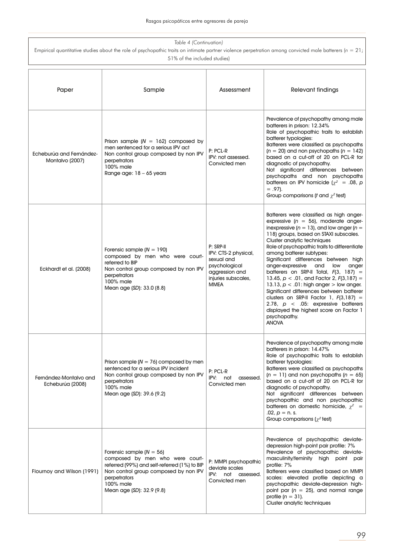| Table 4 (Continuation)<br>Empirical quantitative studies about the role of psychopathic traits on intimate partner violence perpetration among convicted male batterers ( $n = 21$ ;<br>51% of the included studies) |                                                                                                                                                                                                                  |                                                                                                                          |                                                                                                                                                                                                                                                                                                                                                                                                                                                                                                                                                                                                                                                                                                                                                |
|----------------------------------------------------------------------------------------------------------------------------------------------------------------------------------------------------------------------|------------------------------------------------------------------------------------------------------------------------------------------------------------------------------------------------------------------|--------------------------------------------------------------------------------------------------------------------------|------------------------------------------------------------------------------------------------------------------------------------------------------------------------------------------------------------------------------------------------------------------------------------------------------------------------------------------------------------------------------------------------------------------------------------------------------------------------------------------------------------------------------------------------------------------------------------------------------------------------------------------------------------------------------------------------------------------------------------------------|
| Paper                                                                                                                                                                                                                | Sample                                                                                                                                                                                                           | Assessment                                                                                                               | <b>Relevant findings</b>                                                                                                                                                                                                                                                                                                                                                                                                                                                                                                                                                                                                                                                                                                                       |
| Echeburúa and Fernández-<br>Montalvo (2007)                                                                                                                                                                          | Prison sample $(N = 162)$ composed by<br>men sentenced for a serious IPV act<br>Non control group composed by non IPV<br>perpetrators<br>100% male<br>Range age: $18 - 65$ years                                 | P: PCL-R<br>IPV: not assessed.<br>Convicted men                                                                          | Prevalence of psychopathy among male<br>batterers in prison: 12.34%<br>Role of psychopathic traits to establish<br>batterer typologies:<br>Batterers were classified as psychopaths<br>$(n = 20)$ and non psychopaths $(n = 142)$<br>based on a cut-off of 20 on PCL-R for<br>diagnostic of psychopathy.<br>Not significant differences between<br>psychopaths and non psychopaths<br>batterers on IPV homicide ( $\chi^2$ = .08, p<br>$= .97$ ).<br>Group comparisons ( <i>t</i> and $\chi^2$ test)                                                                                                                                                                                                                                           |
| Eckhardt et al. (2008)                                                                                                                                                                                               | Forensic sample $(N = 190)$<br>composed by men who were court-<br>referred to BIP<br>Non control group composed by non IPV<br>perpetrators<br>100% male<br>Mean age (SD): 33.0 (8.8)                             | P: SRP-II<br>IPV: CTS-2 physical,<br>sexual and<br>psychological<br>aggression and<br>injuries subscales,<br><b>MMEA</b> | Batterers were classified as high anger-<br>expressive ( $n = 56$ ), moderate anger-<br>inexpressive ( $n = 13$ ), and low anger ( $n =$<br>118) groups, based on STAXI subscales.<br>Cluster analytic techniques<br>Role of psychopathic traits to differentiate<br>among batterer subtypes:<br>Significant differences between high<br>anger-expressive<br>and<br>low<br>anger<br>batterers on SRP-II Total, $F(3, 187) =$<br>13.45, $p < .01$ , and Factor 2, $F(3,187) =$<br>13.13, $p < .01$ : high anger $>$ low anger.<br>Significant differences between batterer<br>clusters on SRP-II Factor 1, $F(3,187) =$<br>2.78, $p \lt 0.05$ : expressive batterers<br>displayed the highest score on Factor 1<br>psychopathy.<br><b>ANOVA</b> |
| Fernández-Montalvo and<br>Echeburúa (2008)                                                                                                                                                                           | Prison sample $(N = 76)$ composed by men<br>sentenced for a serious IPV incident<br>Non control group composed by non IPV<br>perpetrators<br>100% male<br>Mean age (SD): 39.6 (9.2)                              | P: PCL-R<br>IPV: not assessed.<br>Convicted men                                                                          | Prevalence of psychopathy among male<br>batterers in prison: 14.47%<br>Role of psychopathic traits to establish<br>batterer typologies:<br>Batterers were classified as psychopaths<br>$(n = 11)$ and non psychopaths $(n = 65)$<br>based on a cut-off of 20 on PCL-R for<br>diagnostic of psychopathy.<br>Not significant differences between<br>psychopathic and non psychopathic<br>batterers on domestic homicide, $\chi^2$ =<br>.02, $p = n$ . s.<br>Group comparisons ( $\chi^2$ test)                                                                                                                                                                                                                                                   |
| Flournoy and Wilson (1991)                                                                                                                                                                                           | Forensic sample $(N = 56)$<br>composed by men who were court-<br>referred (99%) and self-referred (1%) to BIP<br>Non control group composed by non IPV<br>perpetrators<br>100% male<br>Mean age (SD): 32.9 (9.8) | P: MMPI psychopathic<br>deviate scales<br>IPV: not assessed.<br>Convicted men                                            | Prevalence of psychopathic deviate-<br>depression high-point pair profile: 7%<br>Prevalence of psychopathic deviate-<br>masculinity/feminity high point pair<br>profile: 7%<br>Batterers were classified based on MMPI<br>scales: elevated profile depicting a<br>psychopathic deviate-depression high-<br>point par ( $n = 25$ ), and normal range<br>profile $(n = 31)$ .<br>Cluster analytic techniques                                                                                                                                                                                                                                                                                                                                     |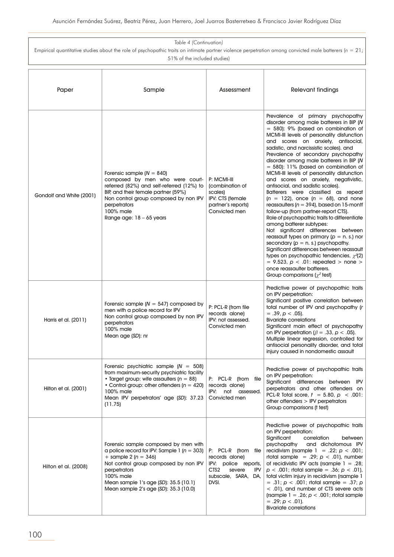| Table 4 (Continuation)<br>Empirical quantitative studies about the role of psychopathic traits on intimate partner violence perpetration among convicted male batterers ( $n = 21$ ) |                                                                                                                                                                                                                                                                             |                                                                                                                                           |                                                                                                                                                                                                                                                                                                                                                                                                                                                                                                                                                                                                                                                                                                                                                                                                                                                                                                                                                                                                                                                                                                                                 |
|--------------------------------------------------------------------------------------------------------------------------------------------------------------------------------------|-----------------------------------------------------------------------------------------------------------------------------------------------------------------------------------------------------------------------------------------------------------------------------|-------------------------------------------------------------------------------------------------------------------------------------------|---------------------------------------------------------------------------------------------------------------------------------------------------------------------------------------------------------------------------------------------------------------------------------------------------------------------------------------------------------------------------------------------------------------------------------------------------------------------------------------------------------------------------------------------------------------------------------------------------------------------------------------------------------------------------------------------------------------------------------------------------------------------------------------------------------------------------------------------------------------------------------------------------------------------------------------------------------------------------------------------------------------------------------------------------------------------------------------------------------------------------------|
| 51% of the included studies)                                                                                                                                                         |                                                                                                                                                                                                                                                                             |                                                                                                                                           |                                                                                                                                                                                                                                                                                                                                                                                                                                                                                                                                                                                                                                                                                                                                                                                                                                                                                                                                                                                                                                                                                                                                 |
| Paper                                                                                                                                                                                | Sample                                                                                                                                                                                                                                                                      | Assessment                                                                                                                                | Relevant findings                                                                                                                                                                                                                                                                                                                                                                                                                                                                                                                                                                                                                                                                                                                                                                                                                                                                                                                                                                                                                                                                                                               |
| Gondolf and White (2001)                                                                                                                                                             | Forensic sample $(N = 840)$<br>composed by men who were court-<br>referred (82%) and self-referred (12%) to<br>BIP, and their female partner (59%)<br>Non control group composed by non IPV<br>perpetrators<br>100% male<br>Range age: $18 - 65$ years                      | P: MCMI-III<br>(combination of<br>scales)<br>IPV: CTS (female<br>partner's reports)<br>Convicted men                                      | Prevalence of primary psychopathy<br>disorder among male batterers in BIP (N<br>$=$ 580): 9% (based on combination of<br>MCMI-III levels of personality disfunction<br>and scores on anxiety, antisocial,<br>sadistic, and narcissistic scales). and<br>Prevalence of secondary psychopathy<br>disorder among male batterers in BIP (N<br>$=$ 580): 11% (based on combination of<br>MCMI-III levels of personality disfunction<br>and scores on anxiety, negativistic,<br>antisocial, and sadistic scales).<br>Batterers were classified as repeat<br>$(n = 122)$ , once $(n = 68)$ , and none<br>reassaulters ( $n = 394$ ), based on 15-montf<br>follow-up (from partner-report CTS).<br>Role of psychopathic traits to differentiate<br>among batterer subtypes:<br>Not significant differences between<br>reassault types on primary ( $p = n$ . s.) nor<br>secondary $(p = n \text{ s.})$ psychopathy.<br>Significant differences between reassault<br>types on psychopathic tendencies, $\chi^2(2)$<br>$= 9.523$ , $p < .01$ : repeated $>$ none $>$<br>once reassaulter batterers.<br>Group comparisons ( $\chi^2$ test) |
| Harris et al. (2011)                                                                                                                                                                 | Forensic sample $(N = 547)$ composed by<br>men with a police record for IPV<br>Non control group composed by non IPV<br>perpetrators<br>100% male<br>Mean age (SD): nr                                                                                                      | P: PCL-R (from file<br>records alone)<br>IPV: not assessed.<br>Convicted men                                                              | Predictive power of psychopathic traits<br>on IPV perpetration:<br>Significant positive correlation between<br>total number of IPV and psychopathy (r<br>$= .39, p < .05$ ).<br><b>Bivariate correlations</b><br>Significant main effect of psychopathy<br>on IPV perpetration ( $\beta = .33$ , $p < .05$ ).<br>Multiple linear regression, controlled for<br>antisocial personality disorder, and total<br>injury caused in nondomestic assault                                                                                                                                                                                                                                                                                                                                                                                                                                                                                                                                                                                                                                                                               |
| Hilton et al. (2001)                                                                                                                                                                 | Forensic psychiatric sample $(N = 508)$<br>from maximum-security psychiatric facility<br>• Target group: wife assaulters ( $n = 88$ )<br>• Control group: other offenders ( $n = 420$ )<br>100% male<br>Mean IPV perpetrators' age (SD): 37.23<br>(11.75)                   | P: PCL-R (from file<br>records alone)<br>IPV: not<br>assessed.<br>Convicted men                                                           | Predictive power of psychopathic traits<br>on IPV perpetration:<br>Significant differences between IPV<br>perpetrators and other offenders on<br>PCL-R Total score, $t = 5.80$ , $p < .001$ :<br>other offenders $>$ IPV perpetrators<br>Group comparisons (t test)                                                                                                                                                                                                                                                                                                                                                                                                                                                                                                                                                                                                                                                                                                                                                                                                                                                             |
| Hilton et al. (2008)                                                                                                                                                                 | Forensic sample composed by men with<br>a police record for IPV: Sample 1 ( $n = 303$ )<br>+ sample 2 ( $n = 346$ )<br>Not control group composed by non IPV<br>perpetrators<br>100% male<br>Mean sample 1's age (SD): 35.5 (10.1)<br>Mean sample 2's age (SD): 35.3 (10.0) | P: PCL-R (from file<br>records alone)<br>IPV: police reports,<br>CTS <sub>2</sub><br><b>IPV</b><br>severe<br>subscale, SARA, DA,<br>DVSI. | Predictive power of psychopathic traits<br>on IPV perpetration:<br>Significant<br>correlation<br>between<br>psychopathy<br>and dichotomous IPV<br>recidivism (rsample $1 = .22$ ; $p < .001$ ;<br>rtotal sample = .29; $p < .01$ ), number<br>of recidivistic IPV acts (rsample $1 = .28$ ;<br>$p < .001$ ; rtotal sample = .36; $p < .01$ ),<br>total victim injury in recidivism (rsample 1<br>$= .31; p < .001;$ rtotal sample $= .37; p$<br>< .01), and number of CTS severe acts<br>(rsample $1 = .26$ ; $p < .001$ ; rtotal sample<br>$= .29$ ; $p < .01$ ).<br><b>Bivariate correlations</b>                                                                                                                                                                                                                                                                                                                                                                                                                                                                                                                             |

 $\overline{1}$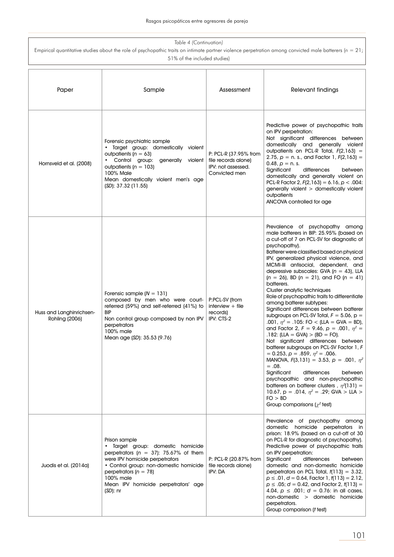| Table 4 (Continuation)<br>Empirical quantitative studies about the role of psychopathic traits on intimate partner violence perpetration among convicted male batterers ( $n = 21$ ;<br>51% of the included studies) |                                                                                                                                                                                                                                                                                     |                                                                                     |                                                                                                                                                                                                                                                                                                                                                                                                                                                                                                                                                                                                                                                                                                                                                                                                                                                                                                                                                                                                                                                                                                                                                                        |
|----------------------------------------------------------------------------------------------------------------------------------------------------------------------------------------------------------------------|-------------------------------------------------------------------------------------------------------------------------------------------------------------------------------------------------------------------------------------------------------------------------------------|-------------------------------------------------------------------------------------|------------------------------------------------------------------------------------------------------------------------------------------------------------------------------------------------------------------------------------------------------------------------------------------------------------------------------------------------------------------------------------------------------------------------------------------------------------------------------------------------------------------------------------------------------------------------------------------------------------------------------------------------------------------------------------------------------------------------------------------------------------------------------------------------------------------------------------------------------------------------------------------------------------------------------------------------------------------------------------------------------------------------------------------------------------------------------------------------------------------------------------------------------------------------|
| Paper                                                                                                                                                                                                                | Sample                                                                                                                                                                                                                                                                              | Assessment                                                                          | <b>Relevant findings</b>                                                                                                                                                                                                                                                                                                                                                                                                                                                                                                                                                                                                                                                                                                                                                                                                                                                                                                                                                                                                                                                                                                                                               |
| Hornsveld et al. (2008)                                                                                                                                                                                              | Forensic psychiatric sample<br>Target group: domestically violent<br>outpatients ( $n = 63$ )<br>• Control group: generally violent<br>outpatients ( $n = 103$ )<br>100% Male<br>Mean domestically violent men's age<br>(SD): 37.32 (11.55)                                         | P: PCL-R (37.95% from<br>file records alone)<br>IPV: not assessed.<br>Convicted men | Predictive power of psychopathic traits<br>on IPV perpetration:<br>Not significant differences between<br>domestically and generally violent<br>outpatients on PCL-R Total, $F(2,163) =$<br>2.75, $p = n$ . s., and Factor 1, $F(2, 163) =$<br>$0.48, p = n$ . s.<br>Significant<br>differences<br>between<br>domestically and generally violent on<br>PCL-R Factor 2, $F(2,163) = 6.16$ , $p < .004$ :<br>generally violent > domestically violent<br>outpatients<br>ANCOVA controlled for age                                                                                                                                                                                                                                                                                                                                                                                                                                                                                                                                                                                                                                                                        |
| Huss and Langhinrichsen-<br>Rohling (2006)                                                                                                                                                                           | Forensic sample $(N = 131)$<br>composed by men who were court-<br>referred (59%) and self-referred (41%) to<br><b>BIP</b><br>Non control group composed by non IPV<br>perpetrators<br>$100\%$ male<br>Mean age (SD): 35.53 (9.76)                                                   | P:PCL-SV (from<br>interview $+$ file<br>records)<br>IPV: CTS-2                      | Prevalence of psychopathy among<br>male batterers in BIP: 25.95% (based on<br>a cut-off of 7 on PCL-SV for diagnostic of<br>psychopathy).<br>Batterer were classified based on physical<br>IPV, generalized physical violence, and<br>MCMI-III antisocial, dependent, and<br>depressive subscales: GVA ( $n = 43$ ), LLA<br>$(n = 26)$ , BD $(n = 21)$ , and FO $(n = 41)$<br>batterers.<br>Cluster analytic techniques<br>Role of psychopathic traits to differentiate<br>among batterer subtypes:<br>Significant differences between batterer<br>subgroups on PCL-SV Total, $F = 5.06$ , $p =$<br>.001, $\eta^2$ = .105: FO < (LLA = GVA = BD),<br>and Factor 2, $F = 9.46$ , $p = .001$ , $n^2 =$<br>.182: (LLA = GVA) > (BD = FO).<br>Not significant differences between<br>batterer subgroups on PCL-SV Factor 1, F<br>$= 0.253$ , $p = .859$ , $\eta^2 = .006$ .<br>MANOVA, $F(3,131) = 3.53$ , $p = .001$ , $n^2$<br>$=.08.$<br>Significant<br>differences<br>between<br>psychopathic and non-psychopathic<br>batterers on batterer clusters, $\eta^2(131) =$<br>10.67, p = .014, $\eta^2$ = .29; GVA > LLA ><br>FO > BD<br>Group comparisons ( $\chi^2$ test) |
| Juodis et al. (2014a)                                                                                                                                                                                                | Prison sample<br>Target group: domestic homicide<br>$\bullet$<br>perpetrators ( $n = 37$ ): 75.67% of them<br>were IPV homicide perpetrators<br>• Control group: non-domestic homicide<br>perpetrators ( $n = 78$ )<br>100% male<br>Mean IPV homicide perpetrators' age<br>(SD): nr | P: PCL-R (20.87% from<br>file records alone)<br>IPV: DA                             | Prevalence of psychopathy among<br>domestic homicide perpetrators in<br>prison: 18.9% (based on a cut-off of 30<br>on PCL-R for diagnostic of psychopathy).<br>Predictive power of psychopathic traits<br>on IPV perpetration:<br>Significant<br>differences<br>between<br>domestic and non-domestic homicide<br>perpetrators on PCL Total, $f(113) = 3.32$ ,<br>$p \le 0.01$ , $d = 0.64$ , Factor 1, $t(113) = 2.12$ ,<br>$p \le 0.05$ ; $d = 0.42$ , and Factor 2, $f(113) =$<br>4.04, $p \le 0.001$ ; $d = 0.76$ : in all cases,<br>non-domestic > domestic homicide<br>perpetrators.<br>Group comparison (t test)                                                                                                                                                                                                                                                                                                                                                                                                                                                                                                                                                 |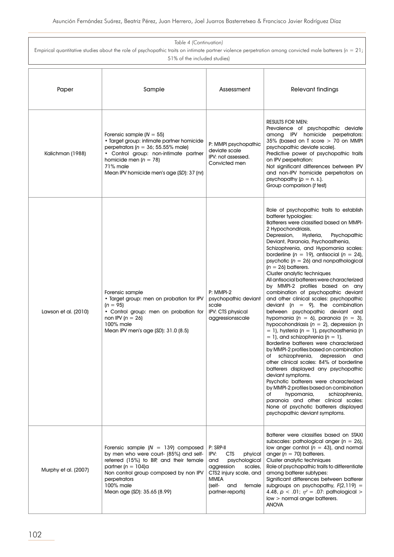| Table 4 (Continuation)                                                                                                                                                                      |                                                                                                                                                                                                                                                          |                                                                                                                                                                                     |                                                                                                                                                                                                                                                                                                                                                                                                                                                                                                                                                                                                                                                                                                                                                                                                                                                                                                                                                                                                                                                                                                                                                                                                                                                                                                                                                         |
|---------------------------------------------------------------------------------------------------------------------------------------------------------------------------------------------|----------------------------------------------------------------------------------------------------------------------------------------------------------------------------------------------------------------------------------------------------------|-------------------------------------------------------------------------------------------------------------------------------------------------------------------------------------|---------------------------------------------------------------------------------------------------------------------------------------------------------------------------------------------------------------------------------------------------------------------------------------------------------------------------------------------------------------------------------------------------------------------------------------------------------------------------------------------------------------------------------------------------------------------------------------------------------------------------------------------------------------------------------------------------------------------------------------------------------------------------------------------------------------------------------------------------------------------------------------------------------------------------------------------------------------------------------------------------------------------------------------------------------------------------------------------------------------------------------------------------------------------------------------------------------------------------------------------------------------------------------------------------------------------------------------------------------|
| Empirical quantitative studies about the role of psychopathic traits on intimate partner violence perpetration among convicted male batterers ( $n = 21$ );<br>51% of the included studies) |                                                                                                                                                                                                                                                          |                                                                                                                                                                                     |                                                                                                                                                                                                                                                                                                                                                                                                                                                                                                                                                                                                                                                                                                                                                                                                                                                                                                                                                                                                                                                                                                                                                                                                                                                                                                                                                         |
| Paper                                                                                                                                                                                       | Sample                                                                                                                                                                                                                                                   | Assessment                                                                                                                                                                          | Relevant findings                                                                                                                                                                                                                                                                                                                                                                                                                                                                                                                                                                                                                                                                                                                                                                                                                                                                                                                                                                                                                                                                                                                                                                                                                                                                                                                                       |
| Kalichman (1988)                                                                                                                                                                            | Forensic sample $(N = 55)$<br>· Target group: intimate partner homicide<br>perpetrators ( $n = 36$ ; 55.55% male)<br>· Control group: non-intimate partner<br>homicide men ( $n = 78$ )<br>71% male<br>Mean IPV homicide men's age (SD): 37 (nr)         | P: MMPI psychopathic<br>deviate scale<br>IPV: not assessed.<br>Convicted men                                                                                                        | <b>RESULTS FOR MEN:</b><br>Prevalence of psychopathic deviate<br>among IPV homicide perpetrators:<br>35% (based on T score > 70 on MMPI<br>psychopathic deviate scale).<br>Predictive power of psychopathic traits<br>on IPV perpetration:<br>Not significant differences between IPV<br>and non-IPV homicide perpetrators on<br>psychopathy $(p = n. s.).$<br>Group comparison (t test)                                                                                                                                                                                                                                                                                                                                                                                                                                                                                                                                                                                                                                                                                                                                                                                                                                                                                                                                                                |
| Lawson et al. (2010)                                                                                                                                                                        | Forensic sample<br>. Target group: men on probation for IPV<br>$(n = 95)$<br>• Control group: men on probation for<br>non IPV $(n = 26)$<br>100% male<br>Mean IPV men's age (SD): 31.0 (8.5)                                                             | P: MMPI-2<br>psychopathic deviant<br>scale<br>IPV: CTS physical<br>aggressionsscale                                                                                                 | Role of psychopathic traits to establish<br>batterer typologies:<br>Batterers were classified based on MMPI-<br>2 Hypochondriasis,<br>Depression,<br>Hysteria,<br>Psychopathic<br>Deviant, Paranoia, Psychoasthenia,<br>Schizophrenia, and Hypomania scales:<br>borderline ( $n = 19$ ), antisocial ( $n = 24$ ),<br>psychotic ( $n = 26$ ) and nonpathological<br>$(n = 26)$ batterers.<br>Cluster analytic techniques<br>All antisocial batterers were characterized<br>by MMPI-2 profiles based on any<br>combination of psychopathic deviant<br>and other clinical scales: psychopathic<br>deviant ( $n = 9$ ), the combination<br>between psychopathic deviant and<br>hypomania ( $n = 6$ ), paranoia ( $n = 3$ ),<br>hypocohondriasis ( $n = 2$ ), depression (n<br>$= 1$ ), hysteria (n = 1), psychoasthenia (n<br>$= 1$ ), and schizophrenia ( $n = 1$ ).<br>Borderline batterers were characterized<br>by MMPI-2 profiles based on combination<br>schizophrenia,<br>depression and<br>of<br>other clinical scales: 84% of borderline<br>batterers displayed any psychopathic<br>deviant symptoms.<br>Psychotic batterers were characterized<br>by MMPI-2 profiles based on combination<br>hypomania,<br>schizophrenia,<br>of<br>paranoia and other clinical scales:<br>None of psychotic batterers displayed<br>psychopathic deviant symptoms. |
| Murphy et al. (2007)                                                                                                                                                                        | Forensic sample $(N = 139)$ composed<br>by men who were court- (85%) and self-<br>referred (15%) to BIP, and their female<br>partner ( $n = 104$ )a<br>Non control group composed by non IPV<br>perpetrators<br>100% male<br>Mean age (SD): 35.65 (8.99) | P: SRP-II<br>IPV:<br><b>CTS</b><br>phyical<br>and<br>psychological<br>aggression<br>scales,<br>CTS2 injury scale, and<br><b>MMEA</b><br>(self-<br>and<br>female<br>partner-reports) | Batterer were classifies based on STAXI<br>subscales: pathological anger ( $n = 26$ ),<br>low anger control ( $n = 43$ ), and normal<br>anger ( $n = 70$ ) batterers.<br>Cluster analytic techniques<br>Role of psychopathic traits to differentiate<br>among batterer subtypes:<br>Significant differences between batterer<br>subgroups on psychopathy, $F(2,119) =$<br>4.48, $p < .01$ ; $\eta^2 = .07$ : pathological ><br>$low >$ normal anger batterers.<br><b>ANOVA</b>                                                                                                                                                                                                                                                                                                                                                                                                                                                                                                                                                                                                                                                                                                                                                                                                                                                                          |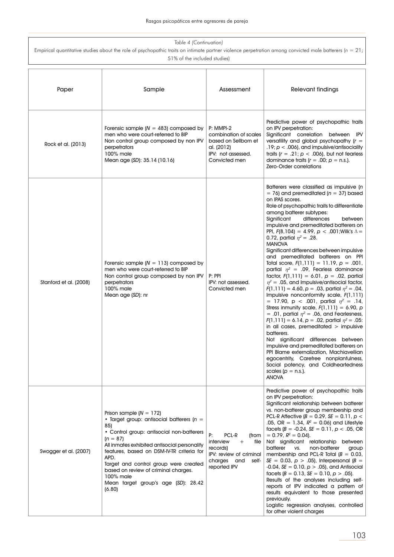| Table 4 (Continuation)<br>Empirical quantitative studies about the role of psychopathic traits on intimate partner violence perpetration among convicted male batterers ( $n = 21$ ;<br>51% of the included studies) |                                                                                                                                                                                                                                                                                                                                                                                                 |                                                                                                                                       |                                                                                                                                                                                                                                                                                                                                                                                                                                                                                                                                                                                                                                                                                                                                                                                                                                                                                                                                                                                                                                                                                                                                                                                                                                                                                                                       |
|----------------------------------------------------------------------------------------------------------------------------------------------------------------------------------------------------------------------|-------------------------------------------------------------------------------------------------------------------------------------------------------------------------------------------------------------------------------------------------------------------------------------------------------------------------------------------------------------------------------------------------|---------------------------------------------------------------------------------------------------------------------------------------|-----------------------------------------------------------------------------------------------------------------------------------------------------------------------------------------------------------------------------------------------------------------------------------------------------------------------------------------------------------------------------------------------------------------------------------------------------------------------------------------------------------------------------------------------------------------------------------------------------------------------------------------------------------------------------------------------------------------------------------------------------------------------------------------------------------------------------------------------------------------------------------------------------------------------------------------------------------------------------------------------------------------------------------------------------------------------------------------------------------------------------------------------------------------------------------------------------------------------------------------------------------------------------------------------------------------------|
| Paper                                                                                                                                                                                                                | Sample                                                                                                                                                                                                                                                                                                                                                                                          | Assessment                                                                                                                            | <b>Relevant findings</b>                                                                                                                                                                                                                                                                                                                                                                                                                                                                                                                                                                                                                                                                                                                                                                                                                                                                                                                                                                                                                                                                                                                                                                                                                                                                                              |
| Rock et al. (2013)                                                                                                                                                                                                   | Forensic sample ( $N = 483$ ) composed by<br>men who were court-referred to BIP<br>Non control group composed by non IPV<br>perpetrators<br>100% male<br>Mean age (SD): 35.14 (10.16)                                                                                                                                                                                                           | P: MMPI-2<br>combination of scales<br>based on Sellbom et<br>al. (2012)<br>IPV: not assessed.<br>Convicted men                        | Predictive power of psychopathic traits<br>on IPV perpetration:<br>Significant correlation between IPV<br>versatility and global psychopathy $(r =$<br>.19; $p < .006$ ), and impulsive/antisociality<br>traits ( $r = .21$ ; $p < .006$ ), but not fearless<br>dominance traits ( $r = .00$ ; $p = n.s.$ ).<br>Zero-Order correlations                                                                                                                                                                                                                                                                                                                                                                                                                                                                                                                                                                                                                                                                                                                                                                                                                                                                                                                                                                               |
| Stanford et al. (2008)                                                                                                                                                                                               | Forensic sample $(N = 113)$ composed by<br>men who were court-referred to BIP<br>Non control group composed by non IPV<br>perpetrators<br>100% male<br>Mean age (SD): nr                                                                                                                                                                                                                        | P: PPI<br>IPV: not assessed.<br>Convicted men                                                                                         | Batterers were classified as impulsive (n<br>$= 76$ ) and premeditated ( $n = 37$ ) based<br>on IPAS scores.<br>Role of psychopathic traits to differentiate<br>among batterer subtypes:<br>differences<br>Significant<br>between<br>impulsive and premeditated batterers on<br>PPI, $F(8, 104) = 4.99$ , $p < .001$ ; Wilk's $\Lambda =$<br>0.72, partial $\eta^2 = .28$ .<br><b>MANOVA</b><br>Significant differences between impulsive<br>and premeditated batterers on PPI<br>Total score, $F(1,111) = 11.19$ , $p = .001$ ,<br>partial $\eta^2$ = .09, Fearless dominance<br>factor, $F(1,111) = 6.01$ , $p = .02$ , partial<br>$\eta^2$ = .05, and Impulsive/antisocial factor,<br>$F(1,111) = 4.60, p = .03$ , partial $\eta^2 = .04$ ,<br>Impulsive nonconformity scale, F(1,111)<br>= 17.90, $p$ < .001, partial $\eta^2$ = .14,<br>Stress inmunity scale, $F(1,111) = 6.90$ , p<br>= .01, partial $\eta^2$ = .06, and Fearlesness,<br>$F(1,111) = 6.14, p = .02$ , partial $\eta^2 = .05$ :<br>in all cases, premeditated $>$ impulsive<br>batterers.<br>Not significant differences between<br>impulsive and premeditated batterers on<br>PPI Blame externalization, Machiavellian<br>egocentrity, Carefree nonplanfulness,<br>Social potency, and Coldheartedness<br>scales $(p = n.s.).$<br><b>ANOVA</b> |
| Swogger et al. (2007)                                                                                                                                                                                                | Prison sample $(N = 172)$<br>• Target group: antisocial batterers ( $n =$<br>85)<br>• Control group: antisocial non-batterers<br>$(n = 87)$<br>All inmates exhibited antisocial personality<br>features, based on DSM-IV-TR criteria for<br>APD.<br>Target and control group were created<br>based on review of criminal charges.<br>100% male<br>Mean target group's age (SD): 28.42<br>(6.80) | P:<br>PCL-R<br>(from<br>file<br>interview<br>$^{+}$<br>records)<br>IPV: review of criminal<br>and<br>self-<br>charges<br>reported IPV | Predictive power of psychopathic traits<br>on IPV perpetration:<br>Significant relationship between batterer<br>vs. non-batterer group membership and<br>PCL-R Affective ( $B = 0.29$ , $SE = 0.11$ , $p <$<br>.05, OR = 1.34, $R^2 = 0.06$ ) and Lifestyle<br>facets ( $B = -0.24$ , $SE = 0.11$ , $p < .05$ , OR<br>$= 0.79$ , $R^2 = 0.04$ ).<br>Not significant relationship between<br>batterer<br>non-batterer<br>VS.<br>group<br>membership and PCL-R Total ( $B = 0.03$ ,<br>SE = 0.03, $p > .05$ ), Interpersonal (B =<br>$-0.04$ , SE = 0.10, $p > .05$ ), and Antisocial<br>facets ( $B = 0.13$ , $SE = 0.10$ , $p > .05$ ).<br>Results of the analyses including self-<br>reports of IPV indicated a pattern of<br>results equivalent to those presented<br>previously.<br>Logistic regression analyses, controlled<br>for other violent charges                                                                                                                                                                                                                                                                                                                                                                                                                                                          |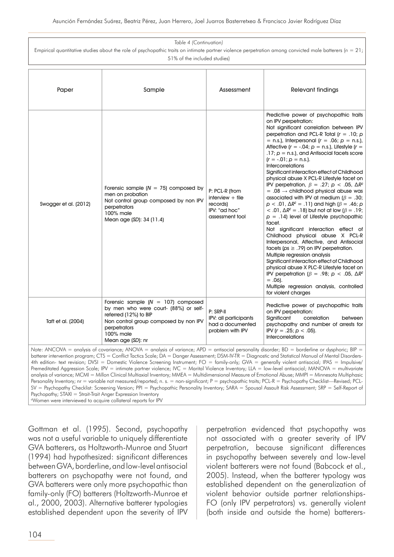| Table 4 (Continuation)<br>Empirical quantitative studies about the role of psychopathic traits on intimate partner violence perpetration among convicted male batterers ( $n = 21$ );                                                                                                                                                                                                                                                                                                                                                                                                                                                       |                                                                                                                                                                                                   |                                                                                      |                                                                                                                                                                                                                                                                                                                                                                                                                                                                                                                                                                                                                                                                                                                                                                                                                                                                                                                                                                                                                                                                                                                                                                                                                                                                                                           |
|---------------------------------------------------------------------------------------------------------------------------------------------------------------------------------------------------------------------------------------------------------------------------------------------------------------------------------------------------------------------------------------------------------------------------------------------------------------------------------------------------------------------------------------------------------------------------------------------------------------------------------------------|---------------------------------------------------------------------------------------------------------------------------------------------------------------------------------------------------|--------------------------------------------------------------------------------------|-----------------------------------------------------------------------------------------------------------------------------------------------------------------------------------------------------------------------------------------------------------------------------------------------------------------------------------------------------------------------------------------------------------------------------------------------------------------------------------------------------------------------------------------------------------------------------------------------------------------------------------------------------------------------------------------------------------------------------------------------------------------------------------------------------------------------------------------------------------------------------------------------------------------------------------------------------------------------------------------------------------------------------------------------------------------------------------------------------------------------------------------------------------------------------------------------------------------------------------------------------------------------------------------------------------|
| 51% of the included studies)                                                                                                                                                                                                                                                                                                                                                                                                                                                                                                                                                                                                                |                                                                                                                                                                                                   |                                                                                      |                                                                                                                                                                                                                                                                                                                                                                                                                                                                                                                                                                                                                                                                                                                                                                                                                                                                                                                                                                                                                                                                                                                                                                                                                                                                                                           |
| Paper                                                                                                                                                                                                                                                                                                                                                                                                                                                                                                                                                                                                                                       | Sample                                                                                                                                                                                            | Assessment                                                                           | <b>Relevant findings</b>                                                                                                                                                                                                                                                                                                                                                                                                                                                                                                                                                                                                                                                                                                                                                                                                                                                                                                                                                                                                                                                                                                                                                                                                                                                                                  |
| Swogger et al. (2012)                                                                                                                                                                                                                                                                                                                                                                                                                                                                                                                                                                                                                       | Forensic sample $(N = 75)$ composed by<br>men on probation<br>Not control group composed by non IPV<br>perpetrators<br>100% male<br>Mean age (SD): 34 (11.4)                                      | P: PCL-R (from<br>$interview + file$<br>records)<br>IPV: "ad hoc"<br>assessment tool | Predictive power of psychopathic traits<br>on IPV perpetration:<br>Not significant correlation between IPV<br>perpetration and PCL-R Total ( $r = .10$ ; p<br>= n.s.), Interpersonal ( $r = .06$ ; $p = n.s$ .),<br>Affective ( $r = -.04$ ; $p = n.s$ .), Lifestyle ( $r =$<br>$.17$ ; $p = n.s$ .), and Antisocial facets score<br>$(r = -.01; p = n.s.).$<br><b>Intercorrelations</b><br>Significant interaction effect of Childhood<br>physical abuse X PCL-R Lifestyle facet on<br>IPV perpetration, $\beta = .27$ ; $p < .05$ , $\Delta R^2$<br>$= .08 \rightarrow$ childhood physical abuse was<br>associated with IPV at medium ( $\beta = .30$ ;<br>$p < .01$ , $\Delta R^2 = .11$ ) and high ( $\beta = .46$ ; $p$ )<br>$<$ .01, ΔR <sup>2</sup> = .18) but not at low (β = .19;<br>$p = .14$ ) level of Lifestyle psychopathic<br>facet.<br>Not significant interaction effect of<br>Childhood physical abuse X PCL-R<br>Interpersonal, Affective, and Antisocial<br>facets ( $ps \geq .79$ ) on IPV perpetration.<br>Multiple regression analysis<br>Significant interaction effect of Childhood<br>physical abuse X PLC-R Lifestyle facet on<br>IPV perpetration ( $\beta = .98$ ; $p < .05$ , $\Delta R^2$<br>$= .06$ ).<br>Multiple regression analysis, controlled<br>for violent charges |
| Taft et al. (2004)                                                                                                                                                                                                                                                                                                                                                                                                                                                                                                                                                                                                                          | Forensic sample $(N = 107)$ composed<br>by men who were court- (88%) or self-<br>referred (12%) to BIP<br>Non control group composed by non IPV<br>perpetrators<br>100% male<br>Mean age (SD): nr | P: SRP-II<br>IPV: all participants<br>had a documented<br>problem with IPV           | Predictive power of psychopathic traits<br>on IPV perpetration:<br>Significant<br>correlation<br>between<br>psychopathy and number of arrests for<br>IPV ( $r = .25$ ; $p < .05$ ).<br><b>Intercorrelations</b>                                                                                                                                                                                                                                                                                                                                                                                                                                                                                                                                                                                                                                                                                                                                                                                                                                                                                                                                                                                                                                                                                           |
| Note: ANCOVA = analysis of covariance; ANOVA = analysis of variance; APD = antisocial personality disorder; BD = borderline or dysphoric; BIP =<br>batterer intervention program; CTS = Conflict Tactics Scale; DA = Danger Assessment; DSM-IV-TR = Diagnostic and Statistical Manual of Mental Disorders-<br>4th edition- text revision; DVSI = Domestic Violence Screening Instrument; FO = family-only; GVA = generally violent antisocial; IPAS = Impulsive/<br>Premeditated Aggression Scale; IPV = intimate partner violence; IVC = Marital Violence Inventory; LLA = low-level antisocial; MANOVA = multivariate<br>1.1117<br>$\sim$ |                                                                                                                                                                                                   |                                                                                      |                                                                                                                                                                                                                                                                                                                                                                                                                                                                                                                                                                                                                                                                                                                                                                                                                                                                                                                                                                                                                                                                                                                                                                                                                                                                                                           |

analysis of variance; MCMI = Millon Clinical Multiaxial Inventory; MMEA = Multidimensional Measure of Emotional Abuse; MMPI = Minnesota Multiphasic Personality Inventory; nr = variable not measured/reported; n. s. = non-significant; P = psychopathic traits; PCL-R = Psychopathy Checklist—Revised; PCL-SV = Psychopathy Checklist: Screening Version; PPI = Psychopathic Personality Inventory; SARA = Spousal Assault Risk Assessment; SRP = Self-Report of Psychopathy; STAXI = Strait-Trait Anger Expression Inventory

a Women were interviewed to acquire collateral reports for IPV

Gottman et al. (1995). Second, psychopathy was not a useful variable to uniquely differentiate GVA batterers, as Holtzworth-Munroe and Stuart (1994) had hypothesized: significant differences between GVA, borderline, and low-level antisocial batterers on psychopathy were not found, and GVA batterers were only more psychopathic than family-only (FO) batterers (Holtzworth-Munroe et al., 2000, 2003). Alternative batterer typologies established dependent upon the severity of IPV perpetration evidenced that psychopathy was not associated with a greater severity of IPV perpetration, because significant differences in psychopathy between severely and low-level violent batterers were not found (Babcock et al., 2005). Instead, when the batterer typology was established dependent on the generalization of violent behavior outside partner relationships-FO (only IPV perpetrators) vs. generally violent (both inside and outside the home) batterers-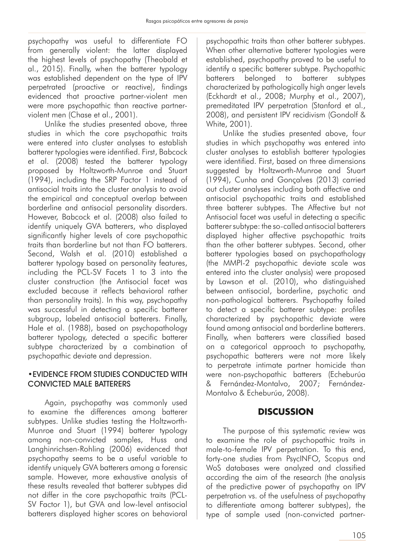psychopathy was useful to differentiate FO from generally violent: the latter displayed the highest levels of psychopathy (Theobald et al., 2015). Finally, when the batterer typology was established dependent on the type of IPV perpetrated (proactive or reactive), findings evidenced that proactive partner-violent men were more psychopathic than reactive partnerviolent men (Chase et al., 2001).

Unlike the studies presented above, three studies in which the core psychopathic traits were entered into cluster analyses to establish batterer typologies were identified. First, Babcock et al. (2008) tested the batterer typology proposed by Holtzworth-Munroe and Stuart (1994), including the SRP Factor 1 instead of antisocial traits into the cluster analysis to avoid the empirical and conceptual overlap between borderline and antisocial personality disorders. However, Babcock et al. (2008) also failed to identify uniquely GVA batterers, who displayed significantly higher levels of core psychopathic traits than borderline but not than FO batterers. Second, Walsh et al. (2010) established a batterer typology based on personality features, including the PCL-SV Facets 1 to 3 into the cluster construction (the Antisocial facet was excluded because it reflects behavioral rather than personality traits). In this way, psychopathy was successful in detecting a specific batterer subgroup, labeled antisocial batterers. Finally, Hale et al. (1988), based on psychopathology batterer typology, detected a specific batterer subtype characterized by a combination of psychopathic deviate and depression.

### •EVIDENCE FROM STUDIES CONDUCTED WITH CONVICTED MALE BATTERERS

Again, psychopathy was commonly used to examine the differences among batterer subtypes. Unlike studies testing the Holtzworth-Munroe and Stuart (1994) batterer typology among non-convicted samples, Huss and Langhinrichsen-Rohling (2006) evidenced that psychopathy seems to be a useful variable to identify uniquely GVA batterers among a forensic sample. However, more exhaustive analysis of these results revealed that batterer subtypes did not differ in the core psychopathic traits (PCL-SV Factor 1), but GVA and low-level antisocial batterers displayed higher scores on behavioral

psychopathic traits than other batterer subtypes. When other alternative batterer typologies were established, psychopathy proved to be useful to identify a specific batterer subtype. Psychopathic batterers belonged to batterer subtypes characterized by pathologically high anger levels (Eckhardt et al., 2008; Murphy et al., 2007), premeditated IPV perpetration (Stanford et al., 2008), and persistent IPV recidivism (Gondolf & White, 2001).

Unlike the studies presented above, four studies in which psychopathy was entered into cluster analyses to establish batterer typologies were identified. First, based on three dimensions suggested by Holtzworth-Munroe and Stuart (1994), Cunha and Gonçalves (2013) carried out cluster analyses including both affective and antisocial psychopathic traits and established three batterer subtypes. The Affective but not Antisocial facet was useful in detecting a specific batterer subtype: the so-called antisocial batterers displayed higher affective psychopathic traits than the other batterer subtypes. Second, other batterer typologies based on psychopathology (the MMPI-2 psychopathic deviate scale was entered into the cluster analysis) were proposed by Lawson et al. (2010), who distinguished between antisocial, borderline, psychotic and non-pathological batterers. Psychopathy failed to detect a specific batterer subtype: profiles characterized by psychopathic deviate were found among antisocial and borderline batterers. Finally, when batterers were classified based on a categorical approach to psychopathy, psychopathic batterers were not more likely to perpetrate intimate partner homicide than were non-psychopathic batterers (Echeburúa & Fernández-Montalvo, 2007; Fernández-Montalvo & Echeburúa, 2008).

# **DISCUSSION**

The purpose of this systematic review was to examine the role of psychopathic traits in male-to-female IPV perpetration. To this end, forty-one studies from PsycINFO, Scopus and WoS databases were analyzed and classified according the aim of the research (the analysis of the predictive power of psychopathy on IPV perpetration vs. of the usefulness of psychopathy to differentiate among batterer subtypes), the type of sample used (non-convicted partner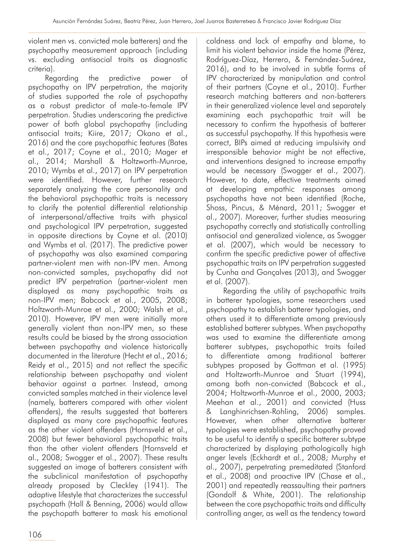violent men vs. convicted male batterers) and the psychopathy measurement approach (including vs. excluding antisocial traits as diagnostic criteria).

Regarding the predictive power of psychopathy on IPV perpetration, the majority of studies supported the role of psychopathy as a robust predictor of male-to-female IPV perpetration. Studies underscoring the predictive power of both global psychopathy (including antisocial traits; Kiire, 2017; Okano et al., 2016) and the core psychopathic features (Bates et al., 2017; Coyne et al., 2010; Mager et al., 2014; Marshall & Holtzworth-Munroe, 2010; Wymbs et al., 2017) on IPV perpetration were identified. However, further research separately analyzing the core personality and the behavioral psychopathic traits is necessary to clarify the potential differential relationship of interpersonal/affective traits with physical and psychological IPV perpetration, suggested in opposite directions by Coyne et al. (2010) and Wymbs et al. (2017). The predictive power of psychopathy was also examined comparing partner-violent men with non-IPV men. Among non-convicted samples, psychopathy did not predict IPV perpetration (partner-violent men displayed as many psychopathic traits as non-IPV men; Babcock et al., 2005, 2008; Holtzworth-Munroe et al., 2000; Walsh et al., 2010). However, IPV men were initially more generally violent than non-IPV men, so these results could be biased by the strong association between psychopathy and violence historically documented in the literature (Hecht et al., 2016; Reidy et al., 2015) and not reflect the specific relationship between psychopathy and violent behavior against a partner. Instead, among convicted samples matched in their violence level (namely, batterers compared with other violent offenders), the results suggested that batterers displayed as many core psychopathic features as the other violent offenders (Hornsveld et al., 2008) but fewer behavioral psychopathic traits than the other violent offenders (Hornsveld et al., 2008; Swogger et al., 2007). These results suggested an image of batterers consistent with the subclinical manifestation of psychopathy already proposed by Cleckley (1941). The adaptive lifestyle that characterizes the successful psychopath (Hall & Benning, 2006) would allow the psychopath batterer to mask his emotional

coldness and lack of empathy and blame, to limit his violent behavior inside the home (Pérez, Rodríguez-Díaz, Herrero, & Fernández-Suárez, 2016), and to be involved in subtle forms of IPV characterized by manipulation and control of their partners (Coyne et al., 2010). Further research matching batterers and non-batterers in their generalized violence level and separately examining each psychopathic trait will be necessary to confirm the hypothesis of batterer as successful psychopathy. If this hypothesis were correct, BIPs aimed at reducing impulsivity and irresponsible behavior might be not effective, and interventions designed to increase empathy would be necessary (Swogger et al., 2007). However, to date, effective treatments aimed at developing empathic responses among psychopaths have not been identified (Roche, Shoss, Pincus, & Ménard, 2011; Swogger et al., 2007). Moreover, further studies measuring psychopathy correctly and statistically controlling antisocial and generalized violence, as Swogger et al. (2007), which would be necessary to confirm the specific predictive power of affective psychopathic traits on IPV perpetration suggested by Cunha and Gonçalves (2013), and Swogger et al. (2007).

Regarding the utility of psychopathic traits in batterer typologies, some researchers used psychopathy to establish batterer typologies, and others used it to differentiate among previously established batterer subtypes. When psychopathy was used to examine the differentiate among batterer subtypes, psychopathic traits failed to differentiate among traditional batterer subtypes proposed by Gottman et al. (1995) and Holtzworth-Munroe and Stuart (1994), among both non-convicted (Babcock et al., 2004; Holtzworth-Munroe et al., 2000, 2003; Meehan et al., 2001) and convicted (Huss & Langhinrichsen-Rohling, 2006) samples. However, when other alternative batterer typologies were established, psychopathy proved to be useful to identify a specific batterer subtype characterized by displaying pathologically high anger levels (Eckhardt et al., 2008; Murphy et al., 2007), perpetrating premeditated (Stanford et al., 2008) and proactive IPV (Chase et al., 2001) and repeatedly reassaulting their partners (Gondolf & White, 2001). The relationship between the core psychopathic traits and difficulty controlling anger, as well as the tendency toward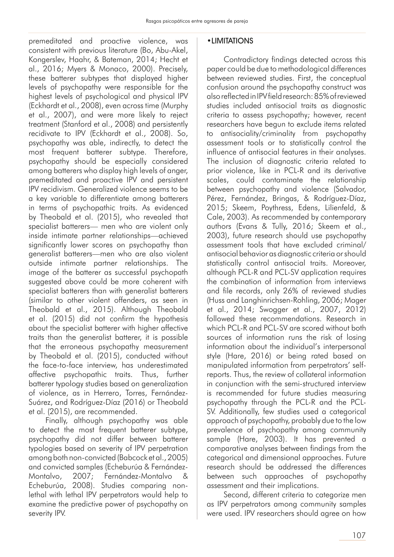premeditated and proactive violence, was consistent with previous literature (Bo, Abu-Akel, Kongerslev, Haahr, & Bateman, 2014; Hecht et al., 2016; Myers & Monaco, 2000). Precisely, these batterer subtypes that displayed higher levels of psychopathy were responsible for the highest levels of psychological and physical IPV (Eckhardt et al., 2008), even across time (Murphy et al., 2007), and were more likely to reject treatment (Stanford et al., 2008) and persistently recidivate to IPV (Eckhardt et al., 2008). So, psychopathy was able, indirectly, to detect the most frequent batterer subtype. Therefore, psychopathy should be especially considered among batterers who display high levels of anger, premeditated and proactive IPV and persistent IPV recidivism. Generalized violence seems to be a key variable to differentiate among batterers in terms of psychopathic traits. As evidenced by Theobald et al. (2015), who revealed that specialist batterers— men who are violent only inside intimate partner relationships—achieved significantly lower scores on psychopathy than generalist batterers—men who are also violent outside intimate partner relationships. The image of the batterer as successful psychopath suggested above could be more coherent with specialist batterers than with generalist batterers (similar to other violent offenders, as seen in Theobald et al., 2015). Although Theobald et al. (2015) did not confirm the hypothesis about the specialist batterer with higher affective traits than the generalist batterer, it is possible that the erroneous psychopathy measurement by Theobald et al. (2015), conducted without the face-to-face interview, has underestimated affective psychopathic traits. Thus, further batterer typology studies based on generalization of violence, as in Herrero, Torres, Fernández-Suárez, and Rodríguez-Díaz (2016) or Theobald et al. (2015), are recommended.

Finally, although psychopathy was able to detect the most frequent batterer subtype, psychopathy did not differ between batterer typologies based on severity of IPV perpetration among both non-convicted (Babcock et al., 2005) and convicted samples (Echeburúa & Fernández-Montalvo, 2007; Fernández-Montalvo & Echeburúa, 2008). Studies comparing nonlethal with lethal IPV perpetrators would help to examine the predictive power of psychopathy on severity IPV.

### •LIMITATIONS

Contradictory findings detected across this paper could be due to methodological differences between reviewed studies. First, the conceptual confusion around the psychopathy construct was also reflected in IPV field research: 85% of reviewed studies included antisocial traits as diagnostic criteria to assess psychopathy; however, recent researchers have begun to exclude items related to antisociality/criminality from psychopathy assessment tools or to statistically control the influence of antisocial features in their analyses. The inclusion of diagnostic criteria related to prior violence, like in PCL-R and its derivative scales, could contaminate the relationship between psychopathy and violence (Salvador, Pérez, Fernández, Bringas, & Rodríguez-Díaz, 2015; Skeem, Poythress, Edens, Lilienfeld, & Cale, 2003). As recommended by contemporary authors (Evans & Tully, 2016; Skeem et al., 2003), future research should use psychopathy assessment tools that have excluded criminal/ antisocial behavior as diagnostic criteria or should statistically control antisocial traits. Moreover, although PCL-R and PCL-SV application requires the combination of information from interviews and file records, only 26% of reviewed studies (Huss and Langhinrichsen-Rohling, 2006; Mager et al., 2014; Swogger et al., 2007, 2012) followed these recommendations. Research in which PCL-R and PCL-SV are scored without both sources of information runs the risk of losing information about the individual's interpersonal style (Hare, 2016) or being rated based on manipulated information from perpetrators' selfreports. Thus, the review of collateral information in conjunction with the semi-structured interview is recommended for future studies measuring psychopathy through the PCL-R and the PCL-SV. Additionally, few studies used a categorical approach of psychopathy, probably due to the low prevalence of psychopathy among community sample (Hare, 2003). It has prevented a comparative analyses between findings from the categorical and dimensional approaches. Future research should be addressed the differences between such approaches of psychopathy assessment and their implications.

Second, different criteria to categorize men as IPV perpetrators among community samples were used. IPV researchers should agree on how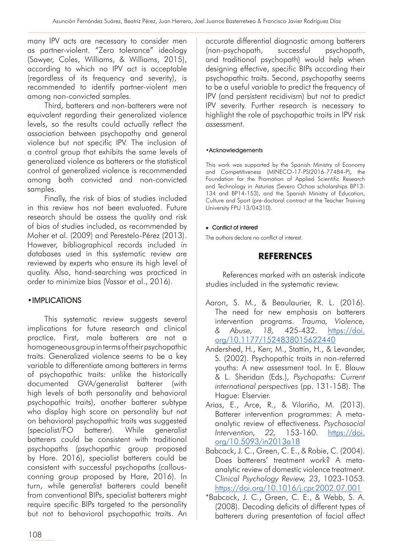many IPV acts are necessary to consider men as partner-violent. "Zero tolerance" ideology (Sawyer, Coles, Williams, & Williams, 2015), according to which no IPV act is acceptable (regardless of its frequency and severity), is recommended to identify partner-violent men among non-convicted samples.

Third, batterers and non-batterers were not equivalent regarding their generalized violence levels, so the results could actually reflect the association between psychopathy and general violence but not specific IPV. The inclusion of a control group that exhibits the same levels of generalized violence as batterers or the statistical control of generalized violence is recommended among both convicted and non-convicted samples.

Finally, the risk of bias of studies included in this review has not been evaluated. Future research should be assess the quality and risk of bias of studies included, as recommended by Moher et al. (2009) and Perestelo-Pérez (2013). However, bibliographical records included in databases used in this systematic review are reviewed by experts who ensure its high level of quality. Also, hand-searching was practiced in order to minimize bias (Vassar et al., 2016).

### •IMPLICATIONS

This systematic review suggests several implications for future research and clinical practice. First, male batterers are not a homogeneous group in terms of their psychopathic traits. Generalized violence seems to be a key variable to differentiate among batterers in terms of psychopathic traits: unlike the historically documented GVA/generalist batterer (with high levels of both personality and behavioral psychopathic traits), another batterer subtype who display high score on personality but not on behavioral psychopathic traits was suggested (specialist/FO batterer). While generalist batterers could be consistent with traditional psychopaths (psychopathic group proposed by Hare. 2016), specialist batterers could be consistent with successful psychopaths (callousconning group proposed by Hare, 2016). In turn, while generalist batterers could benefit from conventional BIPs, specialist batterers might require specific BIPs targeted to the personality but not to behavioral psychopathic traits. An

accurate differential diagnostic among batterers (non-psychopath, successful psychopath, and traditional psychopath) would help when designing effective, specific BIPs according their psychopathic traits. Second, psychopathy seems to be a useful variable to predict the frequency of IPV (and persistent recidivism) but not to predict IPV severity. Further research is necessary to highlight the role of psychopathic traits in IPV risk assessment.

#### •Acknowledgements

This work was supported by the Spanish Ministry of Economy and Competitiveness (MINECO-17-PSI2016-77484-P), the Foundation for the Promotion of Applied Scientific Research and Technology in Asturias (Severo Ochoa scholarships BP13- 134 and BP14-153), and the Spanish Ministry of Education, Culture and Sport (pre-doctoral contract at the Teacher Training University FPU 13/04310).

### • Conflict of interest

The authors declare no conflict of interest.

# **REFERENCES**

References marked with an asterisk indicate studies included in the systematic review.

- Aaron, S. M., & Beaulaurier, R. L. (2016). The need for new emphasis on batterers intervention programs. *Trauma, Violence, & Abuse, 18,* 425-432. [https://doi.](https://doi.org/10.1177/1524838015622440) [org/10.1177/1524838015622440](https://doi.org/10.1177/1524838015622440)
- Andershed, H., Kerr, M., Stattin, H., & Levander, S. (2002). Psychopathic traits in non-referred youths: A new assessment tool. In E. Blauw & L. Sheridan (Eds.), *Psychopaths: Current international perspectives* (pp. 131-158). The Hague: Elservier.
- Arias, E., Arce, R., & Vilariño, M. (2013). Batterer intervention programmes: A metaanalytic review of effectiveness. *Psychosocial Intervention, 22,* 153-160. [https://doi.](https://doi.org/10.5093/in2013a18) [org/10.5093/in2013a18](https://doi.org/10.5093/in2013a18)
- Babcock, J. C., Green, C. E., & Robie, C. (2004). Does batterers' treatment work? A metaanalytic review of domestic violence treatment. *Clinical Psychology Review, 23*, 1023-1053. <https://doi.org/10.1016/j.cpr.2002.07.001>
- \*Babcock, J. C., Green, C. E., & Webb, S. A. (2008). Decoding deficits of different types of batterers during presentation of facial affect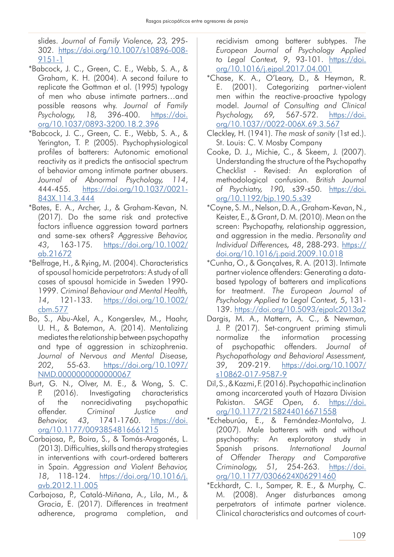slides. *Journal of Family Violence, 23,* 295- 302. [https://doi.org/10.1007/s10896-008-](https://doi.org/10.1007/s10896-008-9151-1) [9151-1](https://doi.org/10.1007/s10896-008-9151-1)

- \*Babcock, J. C., Green, C. E., Webb, S. A., & Graham, K. H. (2004). A second failure to replicate the Gottman et al. (1995) typology of men who abuse intimate partners…and possible reasons why. *Journal of Family Psychology, 18,* 396-400. [https://doi.](https://doi.org/10.1037/0893-3200.18.2.396) [org/10.1037/0893-3200.18.2.396](https://doi.org/10.1037/0893-3200.18.2.396)
- \*Babcock, J. C., Green, C. E., Webb, S. A., & Yerington, T. P. (2005). Psychophysiological profiles of batterers: Autonomic emotional reactivity as it predicts the antisocial spectrum of behavior among intimate partner abusers. *Journal of Abnormal Psychology, 114*, 444-455. [https://doi.org/10.1037/0021-](https://doi.org/10.1037/0021-843X.114.3.444) [843X.114.3.444](https://doi.org/10.1037/0021-843X.114.3.444)
- \*Bates, E. A., Archer, J., & Graham-Kevan, N. (2017). Do the same risk and protective factors influence aggression toward partners and same-sex others? *Aggressive Behavior, 43*, 163-175. [https://doi.org/10.1002/](https://doi.org/10.1002/ab.21672) [ab.21672](https://doi.org/10.1002/ab.21672)
- \*Belfrage, H., & Rying, M. (2004). Characteristics of spousal homicide perpetrators: A study of all cases of spousal homicide in Sweden 1990- 1999. *Criminal Behaviour and Mental Health, 14*, 121-133. [https://doi.org/10.1002/](https://doi.org/10.1002/cbm.577) [cbm.577](https://doi.org/10.1002/cbm.577)
- Bo, S., Abu-Akel, A., Kongerslev, M., Haahr, U. H., & Bateman, A. (2014). Mentalizing mediates the relationship between psychopathy and type of aggression in schizophrenia. *Journal of Nervous and Mental Disease, 202*, 55-63. [https://doi.org/10.1097/](https://doi.org/10.1097/NMD.0000000000000067) [NMD.0000000000000067](https://doi.org/10.1097/NMD.0000000000000067)
- Burt, G. N., Olver, M. E., & Wong, S. C. P. (2016). Investigating characteristics of the nonrecidivating psychopathic offender. *Criminal Justice and Behavior, 43*, 1741-1760. [https://doi.](https://doi.org/10.1177/0093854816661215) [org/10.1177/0093854816661215](https://doi.org/10.1177/0093854816661215)
- Carbajosa, P., Boira, S., & Tomás-Aragonés, L. (2013). Difficulties, skills and therapy strategies in interventions with court-ordered batterers in Spain. *Aggression and Violent Behavior, 18*, 118-124. [https://doi.org/10.1016/j.](https://doi.org/10.1016/j.avb.2012.11.005) [avb.2012.11.005](https://doi.org/10.1016/j.avb.2012.11.005)
- Carbajosa, P., Catalá-Miñana, A., Lila, M., & Gracia, E. (2017). Differences in treatment adherence, programa completion, and

recidivism among batterer subtypes. *The European Journal of Psychology Applied to Legal Context, 9*, 93-101. [https://doi.](https://doi.org/10.1016/j.ejpal.2017.04.001) [org/10.1016/j.ejpal.2017.04.001](https://doi.org/10.1016/j.ejpal.2017.04.001)

- \*Chase, K. A., O'Leary, D., & Heyman, R. E. (2001). Categorizing partner-violent men within the reactive-proactive typology model. *Journal of Consulting and Clinical Psychology, 69,* 567-572. [https://doi.](https://doi.org/10.1037//0022-006X.69.3.567) [org/10.1037//0022-006X.69.3.567](https://doi.org/10.1037//0022-006X.69.3.567)
- Cleckley, H. (1941). *The mask of sanity* (1st ed.). St. Louis: C. V. Mosby Company
- Cooke, D. J., Michie, C., & Skeem, J. (2007). Understanding the structure of the Psychopathy Checklist - Revised: An exploration of methodological confusion. *British Journal of Psychiatry, 190,* s39-s50. [https://doi.](https://doi.org/10.1192/bjp.190.5.s39) [org/10.1192/bjp.190.5.s39](https://doi.org/10.1192/bjp.190.5.s39)
- \*Coyne, S. M., Nelson, D. A., Graham-Kevan, N., Keister, E., & Grant, D. M. (2010). Mean on the screen: Psychopathy, relationship aggression, and aggression in the media. *Personality and Individual Differences, 48*, 288-293. [https://](https://doi.org/10.1016/j.paid.2009.10.018) [doi.org/10.1016/j.paid.2009.10.018](https://doi.org/10.1016/j.paid.2009.10.018)
- \*Cunha, O., & Gonçalves, R. A. (2013). Intimate partner violence offenders: Generating a databased typology of batterers and implications for treatment. *The European Journal of Psychology Applied to Legal Context, 5*, 131- 139.<https://doi.org/10.5093/ejpalc2013a2>
- Dargis, M. A., Mattern, A. C., & Newman, J. P. (2017). Set-congruent priming stimuli normalize the information processing of psychopathic offenders. *Journal of Psychopathology and Behavioral Assessment, 39*, 209-219. [https://doi.org/10.1007/](https://doi.org/10.1007/s10862-017-9587-9) [s10862-017-9587-9](https://doi.org/10.1007/s10862-017-9587-9)
- Dil, S., & Kazmi, F. (2016). Psychopathic inclination among incarcerated youth of Hazara Division Pakistan. *SAGE Open, 6*. [https://doi.](https://doi.org/10.1177/2158244016671558) [org/10.1177/2158244016671558](https://doi.org/10.1177/2158244016671558)
- \*Echeburúa, E., & Fernández-Montalvo, J. (2007). Male batterers with and without psychopathy: An exploratory study in Spanish prisons. *International Journal of Offender Therapy and Comparative Criminology, 51,* 254-263. [https://doi.](https://doi.org/10.1177/0306624X06291460) [org/10.1177/0306624X06291460](https://doi.org/10.1177/0306624X06291460)
- \*Eckhardt, C. I., Samper, R. E., & Murphy, C. M. (2008). Anger disturbances among perpetrators of intimate partner violence. Clinical characteristics and outcomes of court-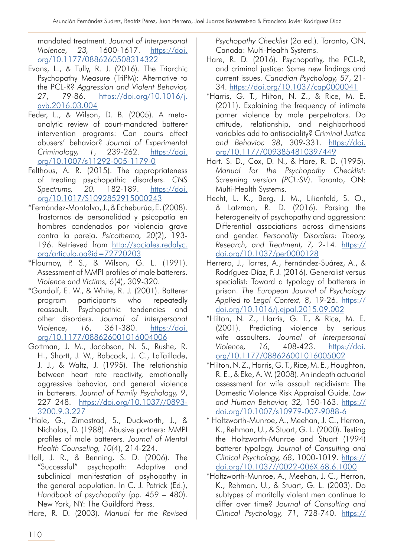mandated treatment. *Journal of Interpersonal Violence, 23,* 1600-1617. [https://doi.](https://doi.org/10.1177/0886260508314322) [org/10.1177/0886260508314322](https://doi.org/10.1177/0886260508314322)

- Evans, L., & Tully, R. J. (2016). The Triarchic Psychopathy Measure (TriPM): Alternative to the PCL-R? *Aggression and Violent Behavior, 27*, 79-86. [https://doi.org/10.1016/j.](https://doi.org/10.1016/j.avb.2016.03.004) [avb.2016.03.004](https://doi.org/10.1016/j.avb.2016.03.004)
- Feder, L., & Wilson, D. B. (2005). A metaanalytic review of court-mandated batterer intervention programs: Can courts affect abusers' behavior? *Journal of Experimental Criminology, 1*, 239-262. [https://doi.](https://doi.org/10.1007/s11292-005-1179-0) [org/10.1007/s11292-005-1179-0](https://doi.org/10.1007/s11292-005-1179-0)
- Felthous, A. R. (2015). The appropriateness of treating psychopathic disorders. *CNS Spectrums, 20,* 182-189. [https://doi.](https://doi.org/10.1017/S1092852915000243) [org/10.1017/S1092852915000243](https://doi.org/10.1017/S1092852915000243)
- \*Fernández-Montalvo, J., & Echeburúa, E. (2008). Trastornos de personalidad y psicopatía en hombres condenados por violencia grave contra la pareja. *Psicothema, 20*(2), 193- 196. Retrieved from [http://sociales.redalyc.](http://sociales.redalyc.org/articulo.oa?id=72720203) [org/articulo.oa?id=72720203](http://sociales.redalyc.org/articulo.oa?id=72720203)
- \*Flournoy, P. S., & Wilson, G. L. (1991). Assessment of MMPI profiles of male batterers. *Violence and Victims, 6*(4), 309-320.
- \*Gondolf, E. W., & White, R. J. (2001). Batterer program participants who repeatedly reassault. Psychopathic tendencies and other disorders. *Journal of Interpersonal Violence, 16*, 361-380. [https://doi.](https://doi.org/10.1177/088626001016004006) [org/10.1177/088626001016004006](https://doi.org/10.1177/088626001016004006)
- Gottman, J. M., Jacobson, N. S., Rushe, R. H., Shortt, J. W., Babcock, J. C., LaTaillade, J. J., & Waltz, J. (1995). The relationship between heart rate reactivity, emotionally aggressive behavior, and general violence in batterers. *Journal of Family Psychology, 9*, 227–248. [https://doi.org/10.1037//0893-](https://doi.org/10.1037//0893-3200.9.3.227) [3200.9.3.227](https://doi.org/10.1037//0893-3200.9.3.227)
- \*Hale, G., Zimostrad, S., Duckworth, J., & Nicholas, D. (1988). Abusive partners: MMPI profiles of male batterers. *Journal of Mental Health Counseling, 10*(4), 214-224.
- Hall, J. R., & Benning, S. D. (2006). The "Successful" psychopath: Adaptive and subclinical manifestation of psyhopathy in the general population. In C. J. Patrick (Ed.), *Handbook of psychopathy* (pp. 459 – 480). New York, NY: The Guildford Press.

Hare, R. D. (2003). *Manual for the Revised* 

*Psychopathy Checklist* (2a ed.). Toronto, ON, Canada: Multi-Health Systems.

- Hare, R. D. (2016). Psychopathy, the PCL-R, and criminal justice: Some new findings and current issues. *Canadian Psychology, 57*, 21- 34. <https://doi.org/10.1037/cap0000041>
- \*Harris, G. T., Hilton, N. Z., & Rice, M. E. (2011). Explaining the frequency of intimate parner violence by male perpetrators. Do attitude, relationship, and neighborhood variables add to antisociality? *Criminal Justice and Behavior, 38*, 309-331. [https://doi.](https://doi.org/10.1177/0093854810397449) [org/10.1177/0093854810397449](https://doi.org/10.1177/0093854810397449)
- Hart. S. D., Cox, D. N., & Hare, R. D. (1995). *Manual for the Psychopathy Checklist: Screening version (PCL:SV)*. Toronto, ON: Multi-Health Systems.
- Hecht, L. K., Berg, J. M., Lilienfeld, S. O., & Latzman, R. D. (2016). Parsing the heterogeneity of psychopathy and aggression: Differential associations across dimensions and gender. *Personality Disorders: Theory, Research, and Treatment, 7,* 2-14. [https://](https://doi.org/10.1037/per0000128) [doi.org/10.1037/per0000128](https://doi.org/10.1037/per0000128)
- Herrero, J., Torres, A., Fernández-Suárez, A., & Rodríguez-Díaz, F. J. (2016). Generalist versus specialist: Toward a typology of batterers in prison. *The European Journal of Psychology Applied to Legal Context, 8*, 19-26. [https://](https://doi.org/10.1016/j.ejpal.2015.09.002) [doi.org/10.1016/j.ejpal.2015.09.002](https://doi.org/10.1016/j.ejpal.2015.09.002)
- \*Hilton, N. Z., Harris, G. T., & Rice, M. E. (2001). Predicting violence by serious wife assaulters. *Journal of Interpersonal Violence, 16*, 408-423. [https://doi.](https://doi.org/10.1177/088626001016005002) [org/10.1177/088626001016005002](https://doi.org/10.1177/088626001016005002)
- \*Hilton, N. Z., Harris, G. T., Rice, M. E., Houghton, R. E., & Eke, A. W. (2008). An indepth actuarial assessment for wife assault recidivism: The Domestic Violence Risk Appraisal Guide. *Law and Human Behavior, 32,* 150-163. [https://](https://doi.org/10.1007/s10979-007-9088-6) [doi.org/10.1007/s10979-007-9088-6](https://doi.org/10.1007/s10979-007-9088-6)
- \* Holtzworth-Munroe, A., Meehan, J. C., Herron, K., Rehman, U., & Stuart, G. L. (2000). Testing the Holtzworth-Munroe and Stuart (1994) batterer typology. *Journal of Consulting and Clinical Psychology, 68*, 1000-1019. [https://](https://doi.org/10.1037//0022-006X.68.6.1000) [doi.org/10.1037//0022-006X.68.6.1000](https://doi.org/10.1037//0022-006X.68.6.1000)
- \*Holtzworth-Munroe, A., Meehan, J. C., Herron, K., Rehman, U., & Stuart, G. L. (2003). Do subtypes of maritally violent men continue to differ over time? *Journal of Consulting and Clinical Psychology, 71*, 728-740. [https://](https://doi.org/10.1037/0022-006X.71.4.728)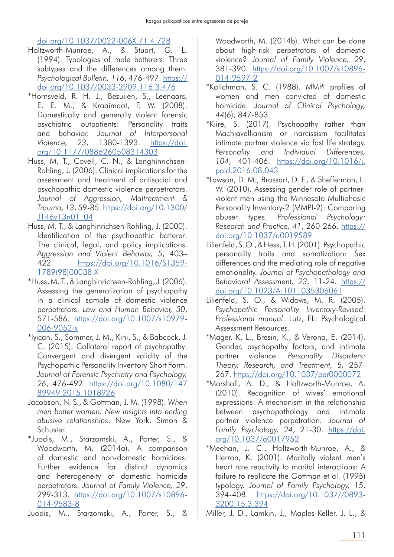[doi.org/10.1037/0022-006X.71.4.728](https://doi.org/10.1037/0022-006X.71.4.728)

- Holtzworth-Munroe, A., & Stuart, G. L. (1994). Typologies of male batterers: Three subtypes and the differences among them. *Psychological Bulletin, 116*, 476-497. [https://](https://doi.org/10.1037/0033-2909.116.3.476) [doi.org/10.1037/0033-2909.116.3.476](https://doi.org/10.1037/0033-2909.116.3.476)
- \*Hornsveld, R. H. J., Bezuijen, S., Leenaars, E. E. M., & Kraaimaat, F. W. (2008). Domestically and generally violent forensic psychiatric outpatients: Personality traits and behavior. *Journal of Interpersonal Violence, 23*, 1380-1393. [https://doi.](https://doi.org/10.1177/0886260508314303) [org/10.1177/0886260508314303](https://doi.org/10.1177/0886260508314303)
- Huss, M. T., Covell, C. N., & Langhinrichsen-Rohling, J. (2006). Clinical implications for the assessment and treatment of antisocial and psychopathic domestic violence perpetrators. *Journal of Aggression, Maltreatment & Trauma, 13*, 59-85. [https://doi.org/10.1300/](https://doi.org/10.1300/J146v13n01_04) [J146v13n01\\_04](https://doi.org/10.1300/J146v13n01_04)
- Huss, M. T., & Langhinrichsen-Rohling, J. (2000). Identification of the psychopathic batterer: The clinical, legal, and policy implications. *Aggression and Violent Behavior, 5*, 403– 422. [https://doi.org/10.1016/S1359-](https://doi.org/10.1016/S1359-1789(98)00038-X) [1789\(98\)00038-X](https://doi.org/10.1016/S1359-1789(98)00038-X)
- \*Huss, M. T., & Langhinrichsen-Rohling, J. (2006). Assessing the generalization of psychopathy in a clinical sample of domestic violence perpetrators. *Law and Human Behavior, 30*, 571-586. [https://doi.org/10.1007/s10979-](https://doi.org/10.1007/s10979-006-9052-x) [006-9052-x](https://doi.org/10.1007/s10979-006-9052-x)
- \*Iyican, S., Sommer, J. M., Kini, S., & Babcock, J. C. (2015). Collateral report of psychopathy: Convergent and divergent validity of the Psychopathic Personality Inventory-Short Form. *Journal of Forensic Psychiatry and Psychology, 26*, 476-492. [https://doi.org/10.1080/147](https://doi.org/10.1080/14789949.2015.1018926) [89949.2015.1018926](https://doi.org/10.1080/14789949.2015.1018926)
- Jacobson, N. S., & Gottman, J. M. (1998). *When men batter women: New insights into ending abusive relationships*. New York: Simon & Schuster.
- \*Juodis, M., Starzomski, A., Porter, S., & Woodworth, M. (2014a). A comparison of domestic and non-domestic homicides: Further evidence for distinct dynamics and heterogeneity of domestic homicide perpetrators. *Journal of Family Violence, 29*, 299-313. [https://doi.org/10.1007/s10896-](https://doi.org/10.1007/s10896-014-9583-8) [014-9583-8](https://doi.org/10.1007/s10896-014-9583-8)

Juodis, M., Starzomski, A., Porter, S., &

Woodworth, M. (2014b). What can be done about high-risk perpetrators of domestic violence? *Journal of Family Violence, 29*, 381-390. [https://doi.org/10.1007/s10896-](https://doi.org/10.1007/s10896-014-9597-2) [014-9597-2](https://doi.org/10.1007/s10896-014-9597-2)

- \*Kalichman, S. C. (1988). MMPI profiles of women and men convicted of domestic homicide. *Journal of Clinical Psychology, 44*(6), 847-853.
- \*Kiire, S. (2017). Psychopathy rather than Machiavellianism or narcissism facilitates intimate partner violence via fast life strategy. *Personality and Individual Differences, 104*, 401-406. [https://doi.org/10.1016/j.](https://doi.org/10.1016/j.paid.2016.08.043) [paid.2016.08.043](https://doi.org/10.1016/j.paid.2016.08.043)
- \*Lawson, D. M., Brossart, D. F., & Shefferman, L. W. (2010). Assessing gender role of partnerviolent men using the Minnesota Multiphasic Personality Inventory-2 (MMPI-2): Comparing abuser types. *Professional Psychology: Research and Practice, 41*, 260-266. [https://](https://doi.org/10.1037/a0019589
) [doi.org/10.1037/a0019589](https://doi.org/10.1037/a0019589
)
- Lilienfeld, S. O., & Hess, T. H. (2001). Psychopathic personality traits and somatization: Sex differences and the mediating role of negative emotionality. *Journal of Psychopathology and Behavioral Assessment, 23*, 11-24. [https://](https://doi.org/10.1023/A:1011035306061) [doi.org/10.1023/A:1011035306061](https://doi.org/10.1023/A:1011035306061)
- Lilienfeld, S. O., & Widows, M. R. (2005). *Psychopathic Personality Inventory-Revised: Professional manual*. Lutz, FL: Psychological Assessment Resources.
- \*Mager, K. L., Bresin, K., & Verona, E. (2014). Gender, psychopathy factors, and intimate partner violence. *Personality Disorders: Theory, Research, and Treatment, 5,* 257- 267.<https://doi.org/10.1037/per0000072>
- \*Marshall, A. D., & Holtzworth-Munroe, A. (2010). Recognition of wives' emotional expressions: A mechanism in the relationship between psychopathology and intimate partner violence perpetration. *Journal of Family Psychology, 24*, 21-30. [https://doi.](https://doi.org/10.1037/a0017952) [org/10.1037/a0017952](https://doi.org/10.1037/a0017952)
- \*Meehan, J. C., Holtzworth-Munroe, A., & Herron, K. (2001). Maritally violent men's heart rate reactivity to marital interactions: A failure to replicate the Gottman et al. (1995) typology. *Journal of Family Psychology, 15*, 394-408. [https://doi.org/10.1037//0893-](https://doi.org/10.1037//0893-3200.15.3.394) [3200.15.3.394](https://doi.org/10.1037//0893-3200.15.3.394)

Miller, J. D., Lamkin, J., Maples-Keller, J. L., &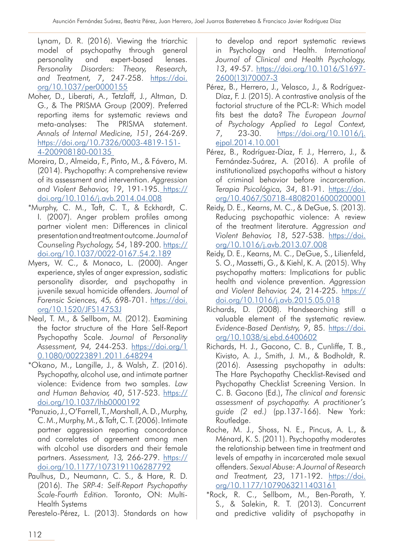Lynam, D. R. (2016). Viewing the triarchic model of psychopathy through general personality and expert-based lenses. *Personality Disorders: Theory, Research, and Treatment, 7*, 247-258. [https://doi.](https://doi.org/10.1037/per0000155) [org/10.1037/per0000155](https://doi.org/10.1037/per0000155)

- Moher, D., Liberati, A., Tetzlaff, J., Altman, D. G., & The PRISMA Group (2009). Preferred reporting items for systematic reviews and meta-analyses: The PRISMA statement. *Annals of Internal Medicine, 151*, 264-269. [https://doi.org/10.7326/0003-4819-151-](https://doi.org/10.7326/0003-4819-151-4-200908180-00135) [4-200908180-00135](https://doi.org/10.7326/0003-4819-151-4-200908180-00135)
- Moreira, D., Almeida, F., Pinto, M., & Fávero, M. (2014). Psychopathy: A comprehensive review of its assessment and intervention. *Aggression and Violent Behavior, 19*, 191-195. [https://](https://doi.org/10.1016/j.avb.2014.04.008) [doi.org/10.1016/j.avb.2014.04.008](https://doi.org/10.1016/j.avb.2014.04.008)
- \*Murphy, C. M., Taft, C. T., & Eckhardt, C. I. (2007). Anger problem profiles among partner violent men: Differences in clinical presentation and treatment outcome. *Journal of Counseling Psychology, 54*, 189-200. [https://](https://doi.org/10.1037/0022-0167.54.2.189) [doi.org/10.1037/0022-0167.54.2.189](https://doi.org/10.1037/0022-0167.54.2.189)
- Myers, W. C., & Monaco, L. (2000). Anger experience, styles of anger expression, sadistic personality disorder, and psychopathy in juvenile sexual homicide offenders. *Journal of Forensic Sciences, 45,* 698-701. [https://doi.](https://doi.org/10.1520/JFS14753J) [org/10.1520/JFS14753J](https://doi.org/10.1520/JFS14753J)
- Neal, T. M., & Sellbom, M. (2012). Examining the factor structure of the Hare Self-Report Psychopathy Scale. *Journal of Personality Assessment, 94,* 244-253. [https://doi.org/1](https://doi.org/10.1080/00223891.2011.648294) [0.1080/00223891.2011.648294](https://doi.org/10.1080/00223891.2011.648294)
- \*Okano, M., Langille, J., & Walsh, Z. (2016). Psychopathy, alcohol use, and intimate partner violence: Evidence from two samples. *Law and Human Behavior, 40*, 517-523. [https://](https://doi.org/10.1037/lhb0000192) [doi.org/10.1037/lhb0000192](https://doi.org/10.1037/lhb0000192)
- \*Panuzio, J., O'Farrell, T., Marshall, A. D., Murphy, C. M., Murphy, M., & Taft, C. T. (2006). Intimate partner aggression reporting concordance and correlates of agreement among men with alcohol use disorders and their female partners. *Assessment, 13,* 266-279. [https://](https://doi.org/10.1177/1073191106287792) [doi.org/10.1177/1073191106287792](https://doi.org/10.1177/1073191106287792)
- Paulhus, D., Neumann, C. S., & Hare, R. D. (2016). *The SRP-4: Self-Report Psychopathy Scale-Fourth Edition.* Toronto, ON: Multi-Health Systems

Perestelo-Pérez, L. (2013). Standards on how

to develop and report systematic reviews in Psychology and Health. *International Journal of Clinical and Health Psychology, 13*, 49-57. [https://doi.org/10.1016/S1697-](https://doi.org/10.1016/S1697-2600(13)70007-3) [2600\(13\)70007-3](https://doi.org/10.1016/S1697-2600(13)70007-3)

- Pérez, B., Herrero, J., Velasco, J., & Rodríguez-Díaz, F. J. (2015). A contrastive analysis of the factorial structure of the PCL-R: Which model fits best the data? *The European Journal of Psychology Applied to Legal Context, 7*, 23-30. [https://doi.org/10.1016/j.](https://doi.org/10.1016/j.ejpal.2014.10.001) [ejpal.2014.10.001](https://doi.org/10.1016/j.ejpal.2014.10.001)
- Pérez, B., Rodríguez-Díaz, F. J., Herrero, J., & Fernández-Suárez, A. (2016). A profile of institutionalized psychopaths without a history of criminal behavior before incarceration. *Terapia Psicológica, 34*, 81-91. [https://doi.](https://doi.org/10.4067/S0718-48082016000200001) [org/10.4067/S0718-48082016000200001](https://doi.org/10.4067/S0718-48082016000200001)
- Reidy, D. E., Kearns, M. C., & DeGue, S. (2013). Reducing psychopathic violence: A review of the treatment literature. *Aggression and Violent Behavior, 18*, 527-538. [https://doi.](https://doi.org/10.1016/j.avb.2013.07.008) [org/10.1016/j.avb.2013.07.008](https://doi.org/10.1016/j.avb.2013.07.008)
- Reidy, D. E., Kearns, M. C., DeGue, S., Lilienfeld, S. O., Massetti, G., & Kiehl, K. A. (2015). Why psychopathy matters: Implications for public health and violence prevention. *Aggression and Violent Behavior, 24,* 214-225. [https://](https://doi.org/10.1016/j.avb.2015.05.018) [doi.org/10.1016/j.avb.2015.05.018](https://doi.org/10.1016/j.avb.2015.05.018)
- Richards, D. (2008). Handsearching still a valuable element of the systematic review. *Evidence-Based Dentistry, 9*, 85. [https://doi.](https://doi.org/10.1038/sj.ebd.6400602) [org/10.1038/sj.ebd.6400602](https://doi.org/10.1038/sj.ebd.6400602)
- Richards, H. J., Gacono, C. B., Cunliffe, T. B., Kivisto, A. J., Smith, J. M., & Bodholdt, R. (2016). Assessing psychopathy in adults: The Hare Psychopathy Checklist-Revised and Psychopathy Checklist Screening Version. In C. B. Gacono (Ed.), *The clinical and forensic assessment of psychopathy. A practitioner's guide (2 ed.)* (pp.137-166). New York: Routledge.
- Roche, M. J., Shoss, N. E., Pincus, A. L., & Ménard, K. S. (2011). Psychopathy moderates the relationship between time in treatment and levels of empathy in incarcerated male sexual offenders. *Sexual Abuse: A Journal of Research and Treatment, 23*, 171-192. [https://doi.](https://doi.org/10.1177/1079063211403161) [org/10.1177/1079063211403161](https://doi.org/10.1177/1079063211403161)
- \*Rock, R. C., Sellbom, M., Ben-Porath, Y. S., & Salekin, R. T. (2013). Concurrent and predictive validity of psychopathy in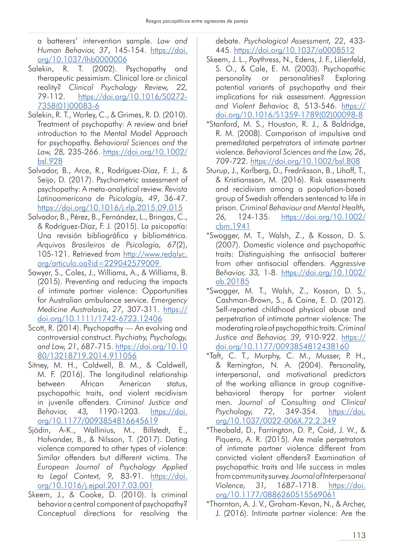a batterers' intervention sample. *Law and Human Behavior, 37*, 145-154. [https://doi.](https://doi.org/10.1037/lhb0000006) [org/10.1037/lhb0000006](https://doi.org/10.1037/lhb0000006)

- Salekin, R. T. (2002). Psychopathy and therapeutic pessimism. Clinical lore or clinical reality? *Clinical Psychology Review, 22,* 79-112. [https://doi.org/10.1016/S0272-](https://doi.org/10.1016/S0272-7358(01)00083-6) [7358\(01\)00083-6](https://doi.org/10.1016/S0272-7358(01)00083-6)
- Salekin, R. T., Worley, C., & Grimes, R. D. (2010). Treatment of psychopathy: A review and brief introduction to the Mental Model Approach for psychopathy. *Behavioral Sciences and the Law, 28,* 235-266. [https://doi.org/10.1002/](https://doi.org/10.1002/bsl.928
) [bsl.928](https://doi.org/10.1002/bsl.928
)
- Salvador, B., Arce, R., Rodríguez-Díaz, F. J., & Seijo, D. (2017). Psychometric assessment of psychopathy: A meta-analytical review. *Revista Latinoamericana de Psicología, 49*, 36-47. <https://doi.org/10.1016/j.rlp.2015.09.015>
- Salvador, B., Pérez, B., Fernández, L., Bringas, C., & Rodríguez-Díaz, F. J. (2015). La psicopatía: Una revisión bibliográfica y bibliométrica. *Arquivos Brasileiros de Psicología, 67*(2), 105-121. Retrieved from [http://www.redalyc.](http://www.redalyc.org/articulo.oa?id=229042579009) [org/articulo.oa?id=229042579009](http://www.redalyc.org/articulo.oa?id=229042579009)
- Sawyer, S., Coles, J., Williams, A., & Williams, B. (2015). Preventing and reducing the impacts of intimate partner violence: Opportunities for Australian ambulance service. *Emergency Medicine Australasia, 27*, 307-311. [https://](https://doi.org/10.1111/1742-6723.12406) [doi.org/10.1111/1742-6723.12406](https://doi.org/10.1111/1742-6723.12406)
- Scott, R. (2014). Psychopathy An evolving and controversial construct. *Psychiatry, Psychology, and Law, 21*, 687-715. [https://doi.org/10.10](https://doi.org/10.1080/13218719.2014.911056) [80/13218719.2014.911056](https://doi.org/10.1080/13218719.2014.911056)
- Sitney, M. H., Caldwell, B. M., & Caldwell, M. F. (2016). The longitudinal relationship between African American status, psychopathic traits, and violent recidivism in juvenile offenders. *Criminal Justice and Behavior, 43,* 1190-1203. [https://doi.](https://doi.org/10.1177/0093854816645619) [org/10.1177/0093854816645619](https://doi.org/10.1177/0093854816645619)
- Sjödin, A-K., Wallinius, M., Billstedt, E., Hofvander, B., & Nilsson, T. (2017). Dating violence compared to other types of violence: Similar offenders but different victims. T*he European Journal of Psychology Applied to Legal Context, 9,* 83-91. [https://doi.](https://doi.org/10.1016/j.ejpal.2017.03.001) [org/10.1016/j.ejpal.2017.03.001](https://doi.org/10.1016/j.ejpal.2017.03.001)
- Skeem, J., & Cooke, D. (2010). Is criminal behavior a central component of psychopathy? Conceptual directions for resolving the

debate. *Psychological Assessment, 22*, 433- 445. <https://doi.org/10.1037/a0008512>

- Skeem, J. L., Poythress, N., Edens, J. F., Lilienfeld, S. O., & Cale, E. M. (2003). Psychopathic personality or personalities? Exploring potential variants of psychopathy and their implications for risk assessment. *Aggression and Violent Behavior, 8,* 513-546. [https://](https://doi.org/10.1016/S1359-1789(02)00098-8) [doi.org/10.1016/S1359-1789\(02\)00098-8](https://doi.org/10.1016/S1359-1789(02)00098-8)
- \*Stanford, M. S., Houston, R. J., & Baldridge, R. M. (2008). Comparison of impulsive and premeditated perpetrators of intimate partner violence. *Behavioral Sciences and the Law, 26*, 709-722. <https://doi.org/10.1002/bsl.808>
- Sturup, J., Karlberg, D., Fredriksson, B., Lihoff, T., & Kristiansson, M. (2016). Risk assessments and recidivism among a population-based group of Swedish offenders sentenced to life in prison. *Criminal Behaviour and Mental Health, 26,* 124-135. [https://doi.org/10.1002/](https://doi.org/10.1002/cbm.1941) [cbm.1941](https://doi.org/10.1002/cbm.1941)
- \*Swogger, M. T., Walsh, Z., & Kosson, D. S. (2007). Domestic violence and psychopathic traits: Distinguishing the antisocial batterer from other antisocial offenders. *Aggressive Behavior, 33,* 1-8. [https://doi.org/10.1002/](https://doi.org/10.1002/ab.20185) [ab.20185](https://doi.org/10.1002/ab.20185)
- \*Swogger, M. T., Walsh, Z., Kosson, D. S., Cashman-Brown, S., & Caine, E. D. (2012). Self-reported childhood physical abuse and perpetration of intimate partner violence: The moderating role of psychopathic traits. *Criminal Justice and Behavior, 39,* 910-922. [https://](https://doi.org/10.1177/0093854812438160) [doi.org/10.1177/0093854812438160](https://doi.org/10.1177/0093854812438160)
- \*Taft, C. T., Murphy, C. M., Musser, P. H., & Remington, N. A. (2004). Personality, interpersonal, and motivational predictors of the working alliance in group cognitivebehavioral therapy for partner violent men. *Journal of Consulting and Clinical Psychology, 72*, 349-354. [https://doi.](https://doi.org/10.1037/0022-006X.72.2.349) [org/10.1037/0022-006X.72.2.349](https://doi.org/10.1037/0022-006X.72.2.349)
- \*Theobald, D., Farrington, D. P., Coid, J. W., & Piquero, A. R. (2015). Are male perpetrators of intimate partner violence different from convicted violent offenders? Examination of psychopathic traits and life success in males from community survey. *Journal of Interpersonal Violence, 31,* 1687-1718. [https://doi.](https://doi.org/10.1177/0886260515569061) [org/10.1177/0886260515569061](https://doi.org/10.1177/0886260515569061)
- \*Thornton, A. J. V., Graham-Kevan, N., & Archer, J. (2016). Intimate partner violence: Are the